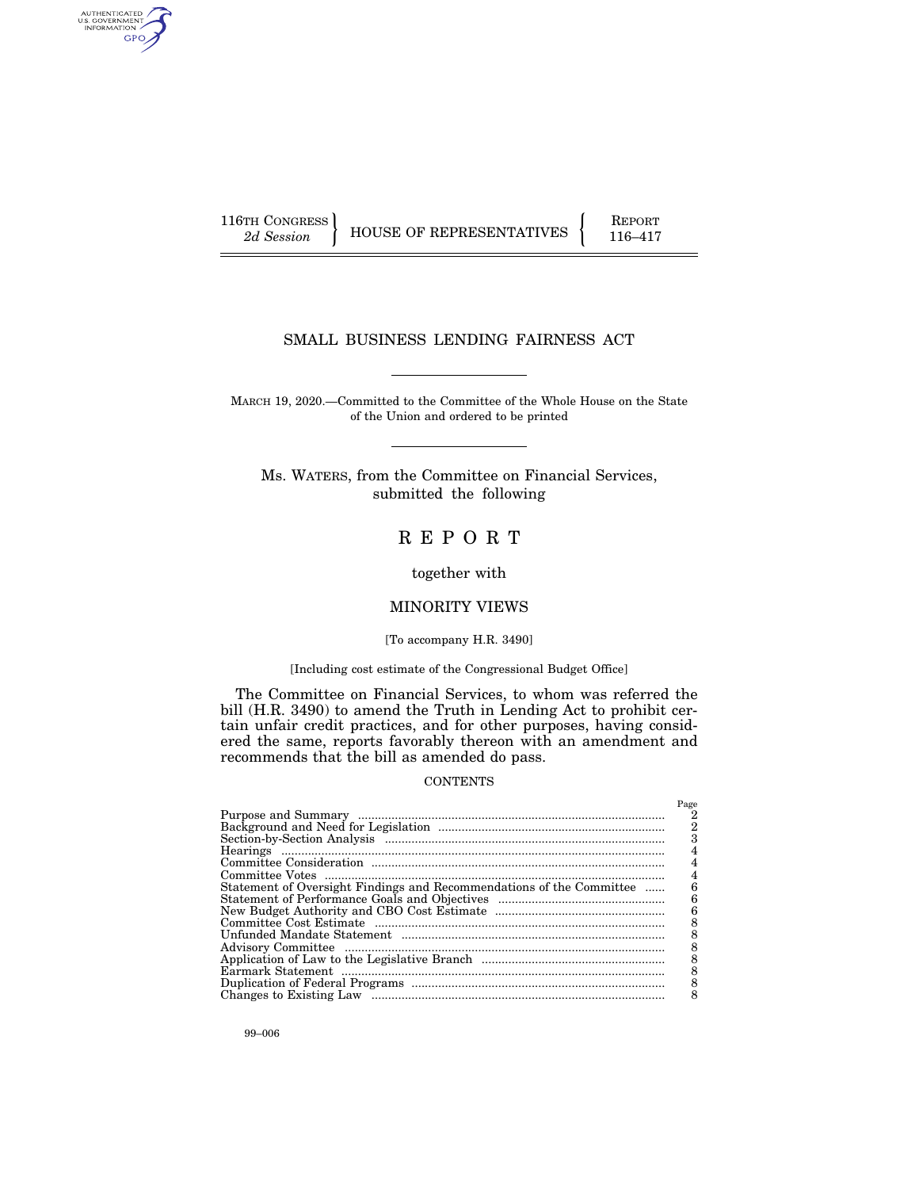AUTHENTICATED<br>U.S. GOVERNMENT<br>INFORMATION GPO

116TH CONGRESS HOUSE OF REPRESENTATIVES FEPORT 116–417

# SMALL BUSINESS LENDING FAIRNESS ACT

MARCH 19, 2020.—Committed to the Committee of the Whole House on the State of the Union and ordered to be printed

Ms. WATERS, from the Committee on Financial Services, submitted the following

# R E P O R T

together with

# MINORITY VIEWS

#### [To accompany H.R. 3490]

# [Including cost estimate of the Congressional Budget Office]

The Committee on Financial Services, to whom was referred the bill (H.R. 3490) to amend the Truth in Lending Act to prohibit certain unfair credit practices, and for other purposes, having considered the same, reports favorably thereon with an amendment and recommends that the bill as amended do pass.

# **CONTENTS**

|                                                                      | Page |
|----------------------------------------------------------------------|------|
|                                                                      |      |
|                                                                      |      |
|                                                                      |      |
|                                                                      |      |
|                                                                      |      |
|                                                                      |      |
| Statement of Oversight Findings and Recommendations of the Committee | 6    |
|                                                                      | 6    |
|                                                                      | 6    |
|                                                                      |      |
|                                                                      |      |
|                                                                      |      |
|                                                                      |      |
|                                                                      |      |
|                                                                      |      |
|                                                                      |      |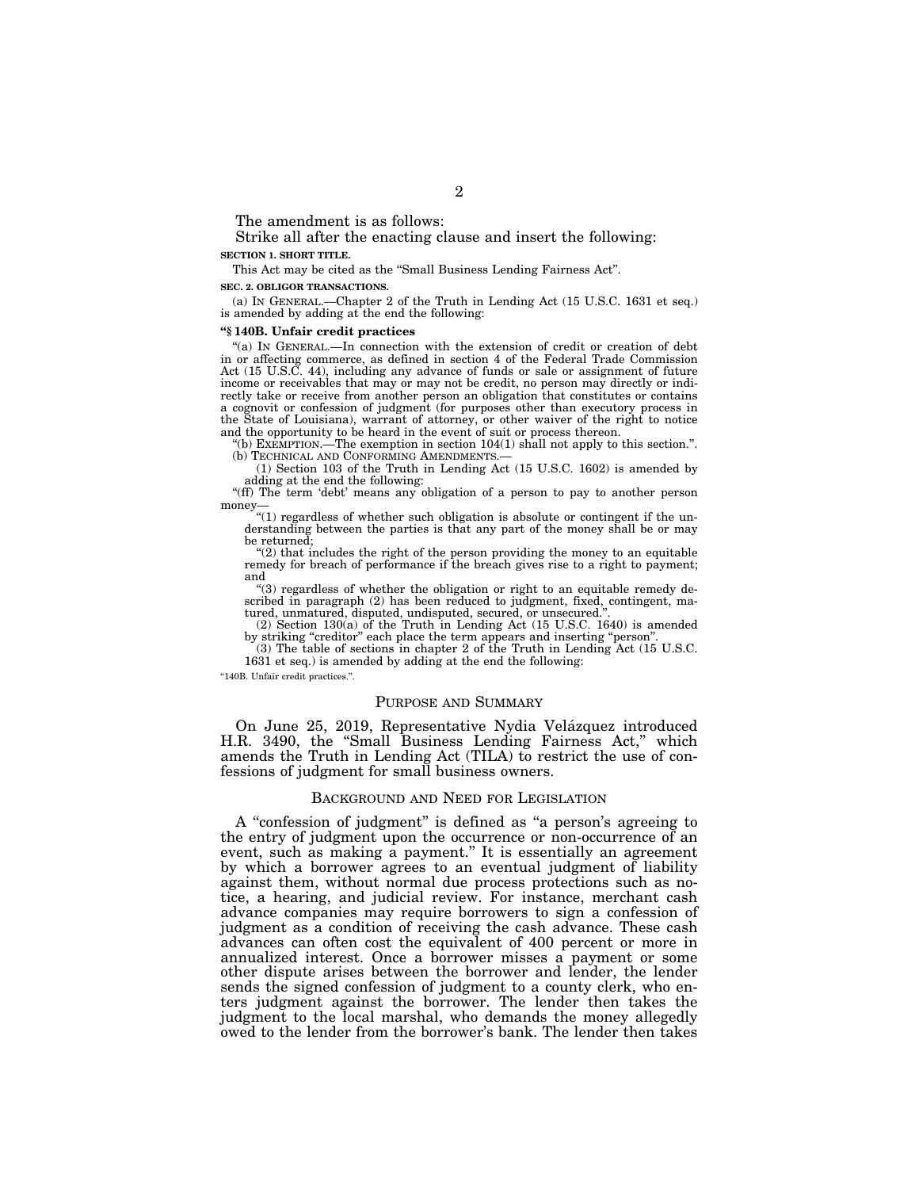The amendment is as follows:

Strike all after the enacting clause and insert the following: **SECTION 1. SHORT TITLE.** 

This Act may be cited as the ''Small Business Lending Fairness Act''.

### **SEC. 2. OBLIGOR TRANSACTIONS.**

(a) IN GENERAL.—Chapter 2 of the Truth in Lending Act (15 U.S.C. 1631 et seq.) is amended by adding at the end the following:

#### **''§ 140B. Unfair credit practices**

"(a) IN GENERAL.—In connection with the extension of credit or creation of debt in or affecting commerce, as defined in section 4 of the Federal Trade Commission Act (15 U.S.C. 44), including any advance of funds or sale or assignment of future income or receivables that may or may not be credit, no person may directly or indirectly take or receive from another person an obligation that constitutes or contains a cognovit or confession of judgment (for purposes other than executory process in the State of Louisiana), warrant of attorney, or other waiver of the right to notice and the opportunity to be heard in the event of suit or process thereon.

 $\hat{f}$  (b) EXEMPTION.—The exemption in section 104(1) shall not apply to this section.". (b) TECHNICAL AND CONFORMING AMENDMENTS.

(1) Section 103 of the Truth in Lending Act (15 U.S.C. 1602) is amended by adding at the end the following:

"(ff) The term 'debt' means any obligation of a person to pay to another person money—

''(1) regardless of whether such obligation is absolute or contingent if the understanding between the parties is that any part of the money shall be or may be returned;

 $(2)$  that includes the right of the person providing the money to an equitable remedy for breach of performance if the breach gives rise to a right to payment; and

''(3) regardless of whether the obligation or right to an equitable remedy described in paragraph (2) has been reduced to judgment, fixed, contingent, matured, unmatured, disputed, undisputed, secured, or unsecured.

 $(2)$  Section 130 $(a)$  of the Truth in Lending Act  $(15 \text{ U.S.C. } 1640)$  is amended by striking "creditor" each place the term appears and inserting "person"

(3) The table of sections in chapter 2 of the Truth in Lending Act (15 U.S.C. 1631 et seq.) is amended by adding at the end the following:

''140B. Unfair credit practices.''.

#### PURPOSE AND SUMMARY

On June 25, 2019, Representative Nydia Velázquez introduced H.R. 3490, the ''Small Business Lending Fairness Act,'' which amends the Truth in Lending Act (TILA) to restrict the use of confessions of judgment for small business owners.

#### BACKGROUND AND NEED FOR LEGISLATION

A ''confession of judgment'' is defined as ''a person's agreeing to the entry of judgment upon the occurrence or non-occurrence of an event, such as making a payment." It is essentially an agreement by which a borrower agrees to an eventual judgment of liability against them, without normal due process protections such as notice, a hearing, and judicial review. For instance, merchant cash advance companies may require borrowers to sign a confession of judgment as a condition of receiving the cash advance. These cash advances can often cost the equivalent of 400 percent or more in annualized interest. Once a borrower misses a payment or some other dispute arises between the borrower and lender, the lender sends the signed confession of judgment to a county clerk, who enters judgment against the borrower. The lender then takes the judgment to the local marshal, who demands the money allegedly owed to the lender from the borrower's bank. The lender then takes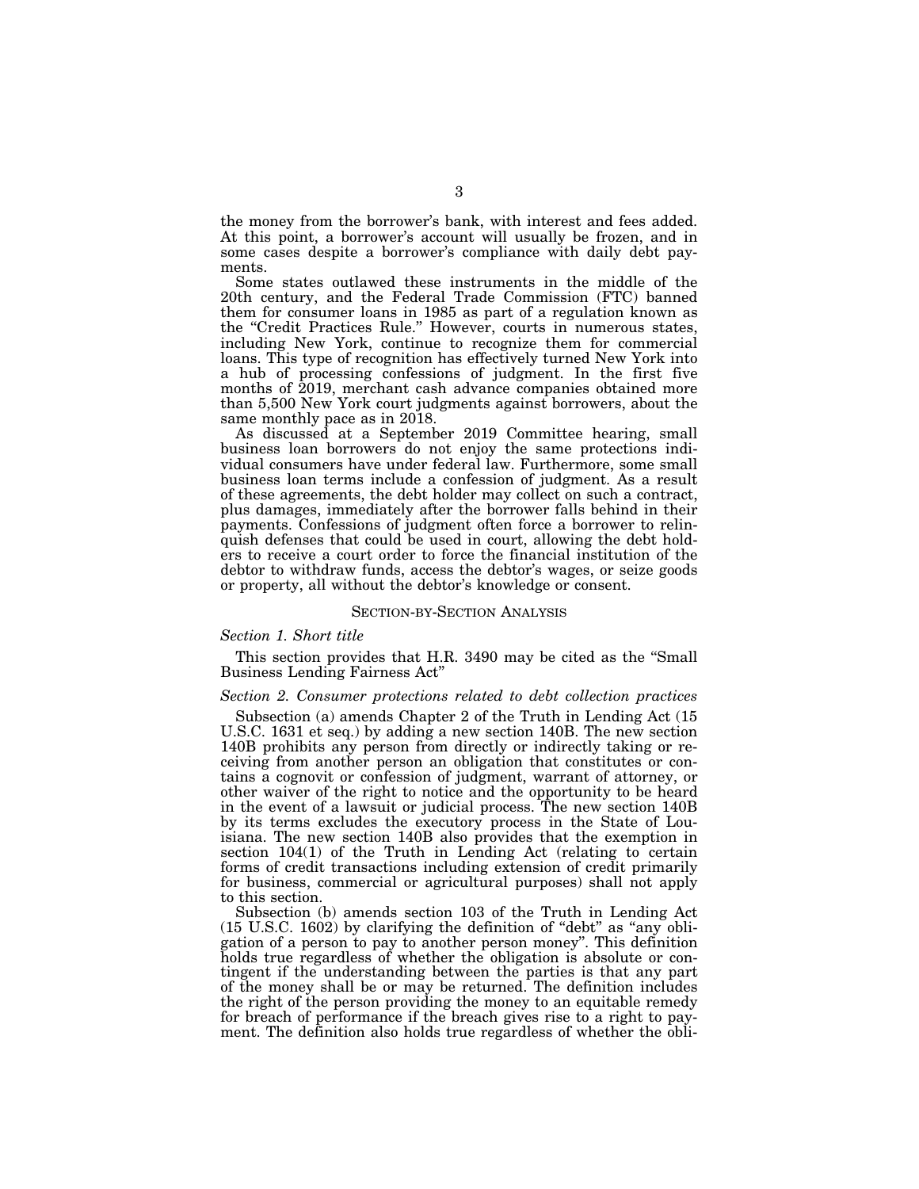the money from the borrower's bank, with interest and fees added. At this point, a borrower's account will usually be frozen, and in some cases despite a borrower's compliance with daily debt payments.

Some states outlawed these instruments in the middle of the 20th century, and the Federal Trade Commission (FTC) banned them for consumer loans in 1985 as part of a regulation known as the ''Credit Practices Rule.'' However, courts in numerous states, including New York, continue to recognize them for commercial loans. This type of recognition has effectively turned New York into a hub of processing confessions of judgment. In the first five months of 2019, merchant cash advance companies obtained more than 5,500 New York court judgments against borrowers, about the same monthly pace as in 2018.

As discussed at a September 2019 Committee hearing, small business loan borrowers do not enjoy the same protections individual consumers have under federal law. Furthermore, some small business loan terms include a confession of judgment. As a result of these agreements, the debt holder may collect on such a contract, plus damages, immediately after the borrower falls behind in their payments. Confessions of judgment often force a borrower to relinquish defenses that could be used in court, allowing the debt holders to receive a court order to force the financial institution of the debtor to withdraw funds, access the debtor's wages, or seize goods or property, all without the debtor's knowledge or consent.

#### SECTION-BY-SECTION ANALYSIS

#### *Section 1. Short title*

This section provides that H.R. 3490 may be cited as the ''Small Business Lending Fairness Act''

#### *Section 2. Consumer protections related to debt collection practices*

Subsection (a) amends Chapter 2 of the Truth in Lending Act (15 U.S.C. 1631 et seq.) by adding a new section 140B. The new section 140B prohibits any person from directly or indirectly taking or receiving from another person an obligation that constitutes or contains a cognovit or confession of judgment, warrant of attorney, or other waiver of the right to notice and the opportunity to be heard in the event of a lawsuit or judicial process. The new section 140B by its terms excludes the executory process in the State of Louisiana. The new section 140B also provides that the exemption in section  $104(1)$  of the Truth in Lending Act (relating to certain forms of credit transactions including extension of credit primarily for business, commercial or agricultural purposes) shall not apply to this section.

Subsection (b) amends section 103 of the Truth in Lending Act (15 U.S.C. 1602) by clarifying the definition of ''debt'' as ''any obligation of a person to pay to another person money''. This definition holds true regardless of whether the obligation is absolute or contingent if the understanding between the parties is that any part of the money shall be or may be returned. The definition includes the right of the person providing the money to an equitable remedy for breach of performance if the breach gives rise to a right to payment. The definition also holds true regardless of whether the obli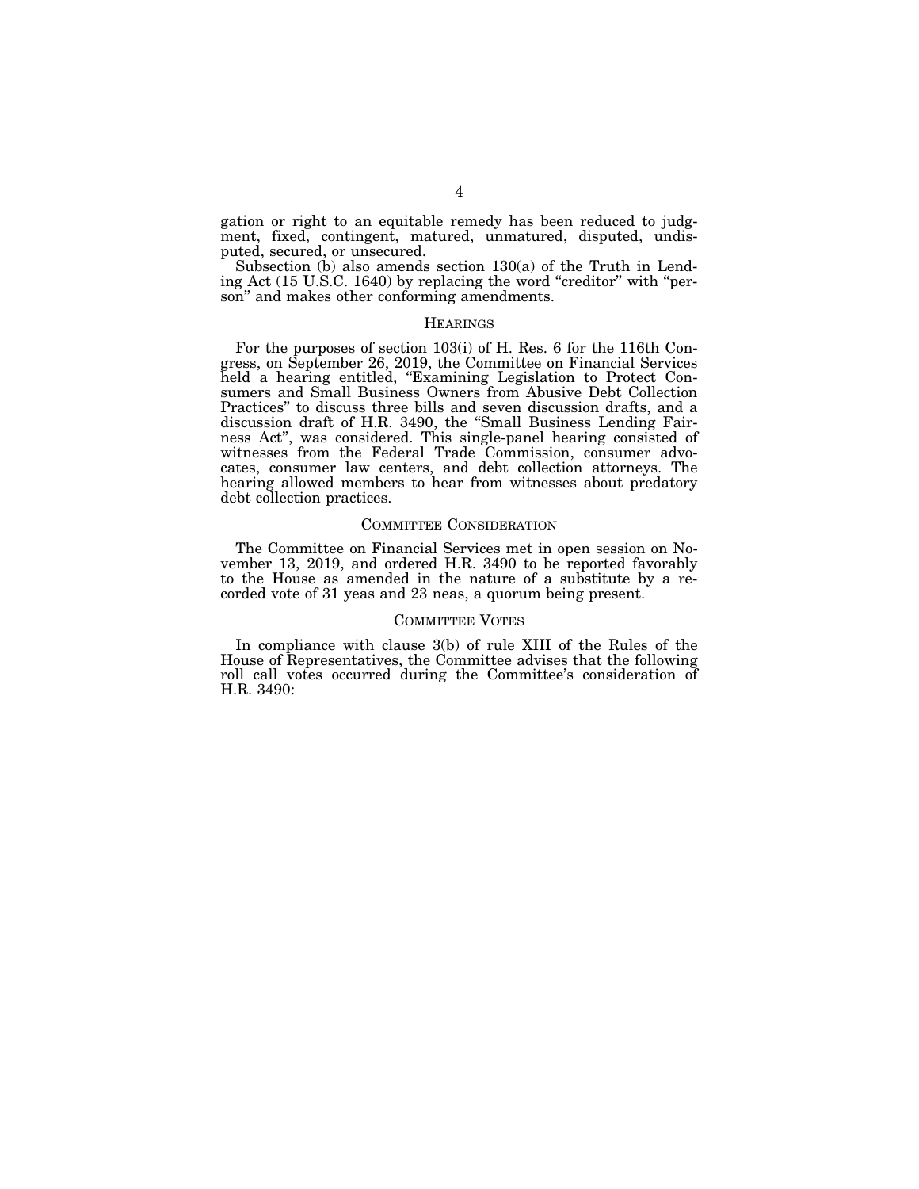gation or right to an equitable remedy has been reduced to judgment, fixed, contingent, matured, unmatured, disputed, undisputed, secured, or unsecured.

Subsection (b) also amends section 130(a) of the Truth in Lending Act (15 U.S.C. 1640) by replacing the word "creditor" with "person'' and makes other conforming amendments.

#### **HEARINGS**

For the purposes of section 103(i) of H. Res. 6 for the 116th Congress, on September 26, 2019, the Committee on Financial Services held a hearing entitled, ''Examining Legislation to Protect Consumers and Small Business Owners from Abusive Debt Collection Practices'' to discuss three bills and seven discussion drafts, and a discussion draft of H.R. 3490, the ''Small Business Lending Fairness Act'', was considered. This single-panel hearing consisted of witnesses from the Federal Trade Commission, consumer advocates, consumer law centers, and debt collection attorneys. The hearing allowed members to hear from witnesses about predatory debt collection practices.

#### COMMITTEE CONSIDERATION

The Committee on Financial Services met in open session on November 13, 2019, and ordered H.R. 3490 to be reported favorably to the House as amended in the nature of a substitute by a recorded vote of 31 yeas and 23 neas, a quorum being present.

#### COMMITTEE VOTES

In compliance with clause 3(b) of rule XIII of the Rules of the House of Representatives, the Committee advises that the following roll call votes occurred during the Committee's consideration of H.R. 3490: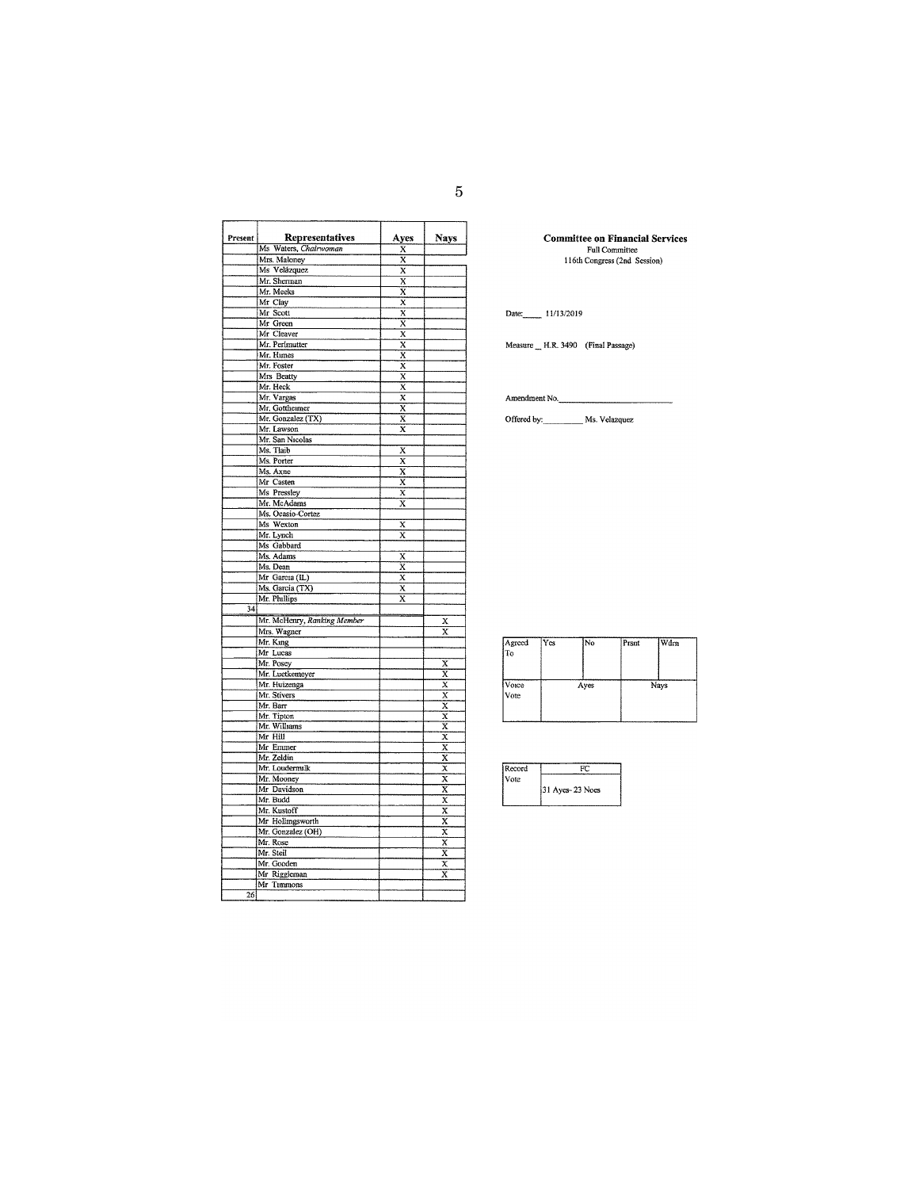| Mrs. Maloney<br>$\overline{\text{x}}$<br>Ms Velázquez<br>X<br>Mr. Sherman<br>$\overline{\mathbf{x}}$<br>Mr. Meeks<br>X<br>Mr Clay<br>x<br>Mr Scott<br>X<br>Mr Green<br>$\overline{\textbf{x}}$<br>Mr Cleaver<br>$\overline{\mathbf{x}}$<br>Mr. Perlmutter<br>X<br>Mr. Himes<br>X<br>Mr. Foster<br>X<br>Mrs Beatty<br>X<br>Mr. Heck<br>$\overline{\mathbf{x}}$<br>Mr. Vargas<br>x<br>Mr. Gottheimer<br>x<br>Mr. Gonzalez (TX)<br>X<br>Mr. Lawson<br>X<br>Mr. San Nicolas<br>Ms. Tlaib<br>X<br>Ms. Porter<br>X<br>Ms. Axne<br>X<br>Mr Casten<br>$\overline{\mathbf{x}}$<br>Ms Pressley<br>X<br>Mr. McAdams<br>$\overline{\mathbf{x}}$<br>Ms. Ocasio-Cortez<br>Ms Wexton<br>X<br>Mr. Lynch<br>X<br>Ms Gabbard<br>Ms. Adams<br>X<br>Ms. Dean<br>$\overline{\text{x}}$<br>Mr Garcia (IL)<br>$\overline{\textbf{x}}$<br>Ms. Garcia (TX)<br>$\overline{\mathbf{x}}$<br>Mr. Phillips<br>X<br>34<br>Mr. McHenry, Ranking Member<br>Mrs. Wagner<br>Mr. King<br>Mr Lucas<br>Mr. Posey<br>Mr. Luetkemeyer<br>Mr. Huizenga<br>Mr. Stivers<br>X<br>Mr. Barr<br>X<br>Mr. Tipton<br>$\overline{\mathrm{x}}$<br>Mr. Williams<br>X<br>Mr Hill<br>x<br>Mr Emmer<br>X<br>Mr. Zeldin<br>x<br>Mr. Loudermilk<br>$\overline{\mathbf{x}}$<br>Mr. Mooney<br>$\bar{\mathbf{x}}$<br>$\overline{\mathbf{x}}$<br>Mr Davidson<br>Mr. Budd<br>$\overline{\mathbf{x}}$<br>Mr. Kustoff<br>$\overline{\mathbf{x}}$<br>$\overline{\mathbf{x}}$<br>Mr Hollingsworth<br>Mr. Gonzalez (OH)<br>Mr. Rose<br>Mr. Steil<br>Mr. Gooden<br>Mr Riggleman | Present | Representatives       | Ayes | <b>Nays</b>             |
|-------------------------------------------------------------------------------------------------------------------------------------------------------------------------------------------------------------------------------------------------------------------------------------------------------------------------------------------------------------------------------------------------------------------------------------------------------------------------------------------------------------------------------------------------------------------------------------------------------------------------------------------------------------------------------------------------------------------------------------------------------------------------------------------------------------------------------------------------------------------------------------------------------------------------------------------------------------------------------------------------------------------------------------------------------------------------------------------------------------------------------------------------------------------------------------------------------------------------------------------------------------------------------------------------------------------------------------------------------------------------------------------------------------------------------------------------------------------------------------------------------------|---------|-----------------------|------|-------------------------|
|                                                                                                                                                                                                                                                                                                                                                                                                                                                                                                                                                                                                                                                                                                                                                                                                                                                                                                                                                                                                                                                                                                                                                                                                                                                                                                                                                                                                                                                                                                             |         | Ms Waters, Chairwoman | X    |                         |
|                                                                                                                                                                                                                                                                                                                                                                                                                                                                                                                                                                                                                                                                                                                                                                                                                                                                                                                                                                                                                                                                                                                                                                                                                                                                                                                                                                                                                                                                                                             |         |                       |      |                         |
|                                                                                                                                                                                                                                                                                                                                                                                                                                                                                                                                                                                                                                                                                                                                                                                                                                                                                                                                                                                                                                                                                                                                                                                                                                                                                                                                                                                                                                                                                                             |         |                       |      |                         |
|                                                                                                                                                                                                                                                                                                                                                                                                                                                                                                                                                                                                                                                                                                                                                                                                                                                                                                                                                                                                                                                                                                                                                                                                                                                                                                                                                                                                                                                                                                             |         |                       |      |                         |
|                                                                                                                                                                                                                                                                                                                                                                                                                                                                                                                                                                                                                                                                                                                                                                                                                                                                                                                                                                                                                                                                                                                                                                                                                                                                                                                                                                                                                                                                                                             |         |                       |      |                         |
|                                                                                                                                                                                                                                                                                                                                                                                                                                                                                                                                                                                                                                                                                                                                                                                                                                                                                                                                                                                                                                                                                                                                                                                                                                                                                                                                                                                                                                                                                                             |         |                       |      |                         |
|                                                                                                                                                                                                                                                                                                                                                                                                                                                                                                                                                                                                                                                                                                                                                                                                                                                                                                                                                                                                                                                                                                                                                                                                                                                                                                                                                                                                                                                                                                             |         |                       |      |                         |
|                                                                                                                                                                                                                                                                                                                                                                                                                                                                                                                                                                                                                                                                                                                                                                                                                                                                                                                                                                                                                                                                                                                                                                                                                                                                                                                                                                                                                                                                                                             |         |                       |      |                         |
|                                                                                                                                                                                                                                                                                                                                                                                                                                                                                                                                                                                                                                                                                                                                                                                                                                                                                                                                                                                                                                                                                                                                                                                                                                                                                                                                                                                                                                                                                                             |         |                       |      |                         |
|                                                                                                                                                                                                                                                                                                                                                                                                                                                                                                                                                                                                                                                                                                                                                                                                                                                                                                                                                                                                                                                                                                                                                                                                                                                                                                                                                                                                                                                                                                             |         |                       |      |                         |
|                                                                                                                                                                                                                                                                                                                                                                                                                                                                                                                                                                                                                                                                                                                                                                                                                                                                                                                                                                                                                                                                                                                                                                                                                                                                                                                                                                                                                                                                                                             |         |                       |      |                         |
|                                                                                                                                                                                                                                                                                                                                                                                                                                                                                                                                                                                                                                                                                                                                                                                                                                                                                                                                                                                                                                                                                                                                                                                                                                                                                                                                                                                                                                                                                                             |         |                       |      |                         |
|                                                                                                                                                                                                                                                                                                                                                                                                                                                                                                                                                                                                                                                                                                                                                                                                                                                                                                                                                                                                                                                                                                                                                                                                                                                                                                                                                                                                                                                                                                             |         |                       |      |                         |
|                                                                                                                                                                                                                                                                                                                                                                                                                                                                                                                                                                                                                                                                                                                                                                                                                                                                                                                                                                                                                                                                                                                                                                                                                                                                                                                                                                                                                                                                                                             |         |                       |      |                         |
|                                                                                                                                                                                                                                                                                                                                                                                                                                                                                                                                                                                                                                                                                                                                                                                                                                                                                                                                                                                                                                                                                                                                                                                                                                                                                                                                                                                                                                                                                                             |         |                       |      |                         |
|                                                                                                                                                                                                                                                                                                                                                                                                                                                                                                                                                                                                                                                                                                                                                                                                                                                                                                                                                                                                                                                                                                                                                                                                                                                                                                                                                                                                                                                                                                             |         |                       |      |                         |
|                                                                                                                                                                                                                                                                                                                                                                                                                                                                                                                                                                                                                                                                                                                                                                                                                                                                                                                                                                                                                                                                                                                                                                                                                                                                                                                                                                                                                                                                                                             |         |                       |      |                         |
|                                                                                                                                                                                                                                                                                                                                                                                                                                                                                                                                                                                                                                                                                                                                                                                                                                                                                                                                                                                                                                                                                                                                                                                                                                                                                                                                                                                                                                                                                                             |         |                       |      |                         |
|                                                                                                                                                                                                                                                                                                                                                                                                                                                                                                                                                                                                                                                                                                                                                                                                                                                                                                                                                                                                                                                                                                                                                                                                                                                                                                                                                                                                                                                                                                             |         |                       |      |                         |
|                                                                                                                                                                                                                                                                                                                                                                                                                                                                                                                                                                                                                                                                                                                                                                                                                                                                                                                                                                                                                                                                                                                                                                                                                                                                                                                                                                                                                                                                                                             |         |                       |      |                         |
|                                                                                                                                                                                                                                                                                                                                                                                                                                                                                                                                                                                                                                                                                                                                                                                                                                                                                                                                                                                                                                                                                                                                                                                                                                                                                                                                                                                                                                                                                                             |         |                       |      |                         |
|                                                                                                                                                                                                                                                                                                                                                                                                                                                                                                                                                                                                                                                                                                                                                                                                                                                                                                                                                                                                                                                                                                                                                                                                                                                                                                                                                                                                                                                                                                             |         |                       |      |                         |
|                                                                                                                                                                                                                                                                                                                                                                                                                                                                                                                                                                                                                                                                                                                                                                                                                                                                                                                                                                                                                                                                                                                                                                                                                                                                                                                                                                                                                                                                                                             |         |                       |      |                         |
|                                                                                                                                                                                                                                                                                                                                                                                                                                                                                                                                                                                                                                                                                                                                                                                                                                                                                                                                                                                                                                                                                                                                                                                                                                                                                                                                                                                                                                                                                                             |         |                       |      |                         |
|                                                                                                                                                                                                                                                                                                                                                                                                                                                                                                                                                                                                                                                                                                                                                                                                                                                                                                                                                                                                                                                                                                                                                                                                                                                                                                                                                                                                                                                                                                             |         |                       |      |                         |
|                                                                                                                                                                                                                                                                                                                                                                                                                                                                                                                                                                                                                                                                                                                                                                                                                                                                                                                                                                                                                                                                                                                                                                                                                                                                                                                                                                                                                                                                                                             |         |                       |      |                         |
|                                                                                                                                                                                                                                                                                                                                                                                                                                                                                                                                                                                                                                                                                                                                                                                                                                                                                                                                                                                                                                                                                                                                                                                                                                                                                                                                                                                                                                                                                                             |         |                       |      |                         |
|                                                                                                                                                                                                                                                                                                                                                                                                                                                                                                                                                                                                                                                                                                                                                                                                                                                                                                                                                                                                                                                                                                                                                                                                                                                                                                                                                                                                                                                                                                             |         |                       |      |                         |
|                                                                                                                                                                                                                                                                                                                                                                                                                                                                                                                                                                                                                                                                                                                                                                                                                                                                                                                                                                                                                                                                                                                                                                                                                                                                                                                                                                                                                                                                                                             |         |                       |      |                         |
|                                                                                                                                                                                                                                                                                                                                                                                                                                                                                                                                                                                                                                                                                                                                                                                                                                                                                                                                                                                                                                                                                                                                                                                                                                                                                                                                                                                                                                                                                                             |         |                       |      |                         |
|                                                                                                                                                                                                                                                                                                                                                                                                                                                                                                                                                                                                                                                                                                                                                                                                                                                                                                                                                                                                                                                                                                                                                                                                                                                                                                                                                                                                                                                                                                             |         |                       |      |                         |
|                                                                                                                                                                                                                                                                                                                                                                                                                                                                                                                                                                                                                                                                                                                                                                                                                                                                                                                                                                                                                                                                                                                                                                                                                                                                                                                                                                                                                                                                                                             |         |                       |      |                         |
|                                                                                                                                                                                                                                                                                                                                                                                                                                                                                                                                                                                                                                                                                                                                                                                                                                                                                                                                                                                                                                                                                                                                                                                                                                                                                                                                                                                                                                                                                                             |         |                       |      |                         |
|                                                                                                                                                                                                                                                                                                                                                                                                                                                                                                                                                                                                                                                                                                                                                                                                                                                                                                                                                                                                                                                                                                                                                                                                                                                                                                                                                                                                                                                                                                             |         |                       |      |                         |
|                                                                                                                                                                                                                                                                                                                                                                                                                                                                                                                                                                                                                                                                                                                                                                                                                                                                                                                                                                                                                                                                                                                                                                                                                                                                                                                                                                                                                                                                                                             |         |                       |      |                         |
|                                                                                                                                                                                                                                                                                                                                                                                                                                                                                                                                                                                                                                                                                                                                                                                                                                                                                                                                                                                                                                                                                                                                                                                                                                                                                                                                                                                                                                                                                                             |         |                       |      |                         |
|                                                                                                                                                                                                                                                                                                                                                                                                                                                                                                                                                                                                                                                                                                                                                                                                                                                                                                                                                                                                                                                                                                                                                                                                                                                                                                                                                                                                                                                                                                             |         |                       |      | X                       |
|                                                                                                                                                                                                                                                                                                                                                                                                                                                                                                                                                                                                                                                                                                                                                                                                                                                                                                                                                                                                                                                                                                                                                                                                                                                                                                                                                                                                                                                                                                             |         |                       |      | $\overline{\mathbf{x}}$ |
|                                                                                                                                                                                                                                                                                                                                                                                                                                                                                                                                                                                                                                                                                                                                                                                                                                                                                                                                                                                                                                                                                                                                                                                                                                                                                                                                                                                                                                                                                                             |         |                       |      |                         |
|                                                                                                                                                                                                                                                                                                                                                                                                                                                                                                                                                                                                                                                                                                                                                                                                                                                                                                                                                                                                                                                                                                                                                                                                                                                                                                                                                                                                                                                                                                             |         |                       |      |                         |
|                                                                                                                                                                                                                                                                                                                                                                                                                                                                                                                                                                                                                                                                                                                                                                                                                                                                                                                                                                                                                                                                                                                                                                                                                                                                                                                                                                                                                                                                                                             |         |                       |      | x                       |
|                                                                                                                                                                                                                                                                                                                                                                                                                                                                                                                                                                                                                                                                                                                                                                                                                                                                                                                                                                                                                                                                                                                                                                                                                                                                                                                                                                                                                                                                                                             |         |                       |      | X                       |
|                                                                                                                                                                                                                                                                                                                                                                                                                                                                                                                                                                                                                                                                                                                                                                                                                                                                                                                                                                                                                                                                                                                                                                                                                                                                                                                                                                                                                                                                                                             |         |                       |      | $\overline{\mathbf{x}}$ |
|                                                                                                                                                                                                                                                                                                                                                                                                                                                                                                                                                                                                                                                                                                                                                                                                                                                                                                                                                                                                                                                                                                                                                                                                                                                                                                                                                                                                                                                                                                             |         |                       |      |                         |
|                                                                                                                                                                                                                                                                                                                                                                                                                                                                                                                                                                                                                                                                                                                                                                                                                                                                                                                                                                                                                                                                                                                                                                                                                                                                                                                                                                                                                                                                                                             |         |                       |      |                         |
|                                                                                                                                                                                                                                                                                                                                                                                                                                                                                                                                                                                                                                                                                                                                                                                                                                                                                                                                                                                                                                                                                                                                                                                                                                                                                                                                                                                                                                                                                                             |         |                       |      |                         |
|                                                                                                                                                                                                                                                                                                                                                                                                                                                                                                                                                                                                                                                                                                                                                                                                                                                                                                                                                                                                                                                                                                                                                                                                                                                                                                                                                                                                                                                                                                             |         |                       |      |                         |
|                                                                                                                                                                                                                                                                                                                                                                                                                                                                                                                                                                                                                                                                                                                                                                                                                                                                                                                                                                                                                                                                                                                                                                                                                                                                                                                                                                                                                                                                                                             |         |                       |      |                         |
|                                                                                                                                                                                                                                                                                                                                                                                                                                                                                                                                                                                                                                                                                                                                                                                                                                                                                                                                                                                                                                                                                                                                                                                                                                                                                                                                                                                                                                                                                                             |         |                       |      |                         |
|                                                                                                                                                                                                                                                                                                                                                                                                                                                                                                                                                                                                                                                                                                                                                                                                                                                                                                                                                                                                                                                                                                                                                                                                                                                                                                                                                                                                                                                                                                             |         |                       |      |                         |
|                                                                                                                                                                                                                                                                                                                                                                                                                                                                                                                                                                                                                                                                                                                                                                                                                                                                                                                                                                                                                                                                                                                                                                                                                                                                                                                                                                                                                                                                                                             |         |                       |      |                         |
|                                                                                                                                                                                                                                                                                                                                                                                                                                                                                                                                                                                                                                                                                                                                                                                                                                                                                                                                                                                                                                                                                                                                                                                                                                                                                                                                                                                                                                                                                                             |         |                       |      |                         |
|                                                                                                                                                                                                                                                                                                                                                                                                                                                                                                                                                                                                                                                                                                                                                                                                                                                                                                                                                                                                                                                                                                                                                                                                                                                                                                                                                                                                                                                                                                             |         |                       |      |                         |
|                                                                                                                                                                                                                                                                                                                                                                                                                                                                                                                                                                                                                                                                                                                                                                                                                                                                                                                                                                                                                                                                                                                                                                                                                                                                                                                                                                                                                                                                                                             |         |                       |      |                         |
|                                                                                                                                                                                                                                                                                                                                                                                                                                                                                                                                                                                                                                                                                                                                                                                                                                                                                                                                                                                                                                                                                                                                                                                                                                                                                                                                                                                                                                                                                                             |         |                       |      |                         |
|                                                                                                                                                                                                                                                                                                                                                                                                                                                                                                                                                                                                                                                                                                                                                                                                                                                                                                                                                                                                                                                                                                                                                                                                                                                                                                                                                                                                                                                                                                             |         |                       |      |                         |
|                                                                                                                                                                                                                                                                                                                                                                                                                                                                                                                                                                                                                                                                                                                                                                                                                                                                                                                                                                                                                                                                                                                                                                                                                                                                                                                                                                                                                                                                                                             |         |                       |      |                         |
|                                                                                                                                                                                                                                                                                                                                                                                                                                                                                                                                                                                                                                                                                                                                                                                                                                                                                                                                                                                                                                                                                                                                                                                                                                                                                                                                                                                                                                                                                                             |         |                       |      | $\overline{\textbf{x}}$ |
|                                                                                                                                                                                                                                                                                                                                                                                                                                                                                                                                                                                                                                                                                                                                                                                                                                                                                                                                                                                                                                                                                                                                                                                                                                                                                                                                                                                                                                                                                                             |         |                       |      | X                       |
|                                                                                                                                                                                                                                                                                                                                                                                                                                                                                                                                                                                                                                                                                                                                                                                                                                                                                                                                                                                                                                                                                                                                                                                                                                                                                                                                                                                                                                                                                                             |         |                       |      | $\overline{\mathbf{x}}$ |
|                                                                                                                                                                                                                                                                                                                                                                                                                                                                                                                                                                                                                                                                                                                                                                                                                                                                                                                                                                                                                                                                                                                                                                                                                                                                                                                                                                                                                                                                                                             |         |                       |      | $\overline{\mathbf{x}}$ |
|                                                                                                                                                                                                                                                                                                                                                                                                                                                                                                                                                                                                                                                                                                                                                                                                                                                                                                                                                                                                                                                                                                                                                                                                                                                                                                                                                                                                                                                                                                             |         |                       |      | X                       |
|                                                                                                                                                                                                                                                                                                                                                                                                                                                                                                                                                                                                                                                                                                                                                                                                                                                                                                                                                                                                                                                                                                                                                                                                                                                                                                                                                                                                                                                                                                             |         | Mr Timmons            |      |                         |

**Committee on Financial Services**<br>Full Committee<br>116th Congress (2nd Session)

# Date: 11/13/2019

Measure \_ H.R. 3490 (Final Passage)

Amendment No.

Offered by: \_\_\_\_\_\_\_\_\_\_ Ms. Velazquez

| Agreed<br>To  | Yes | No.  | Prsnt | Wdm  |
|---------------|-----|------|-------|------|
| Voice<br>Vote |     | Ayes |       | Nays |

| Record |                 |
|--------|-----------------|
| Vote   |                 |
|        | 31 Ayes-23 Noes |
|        |                 |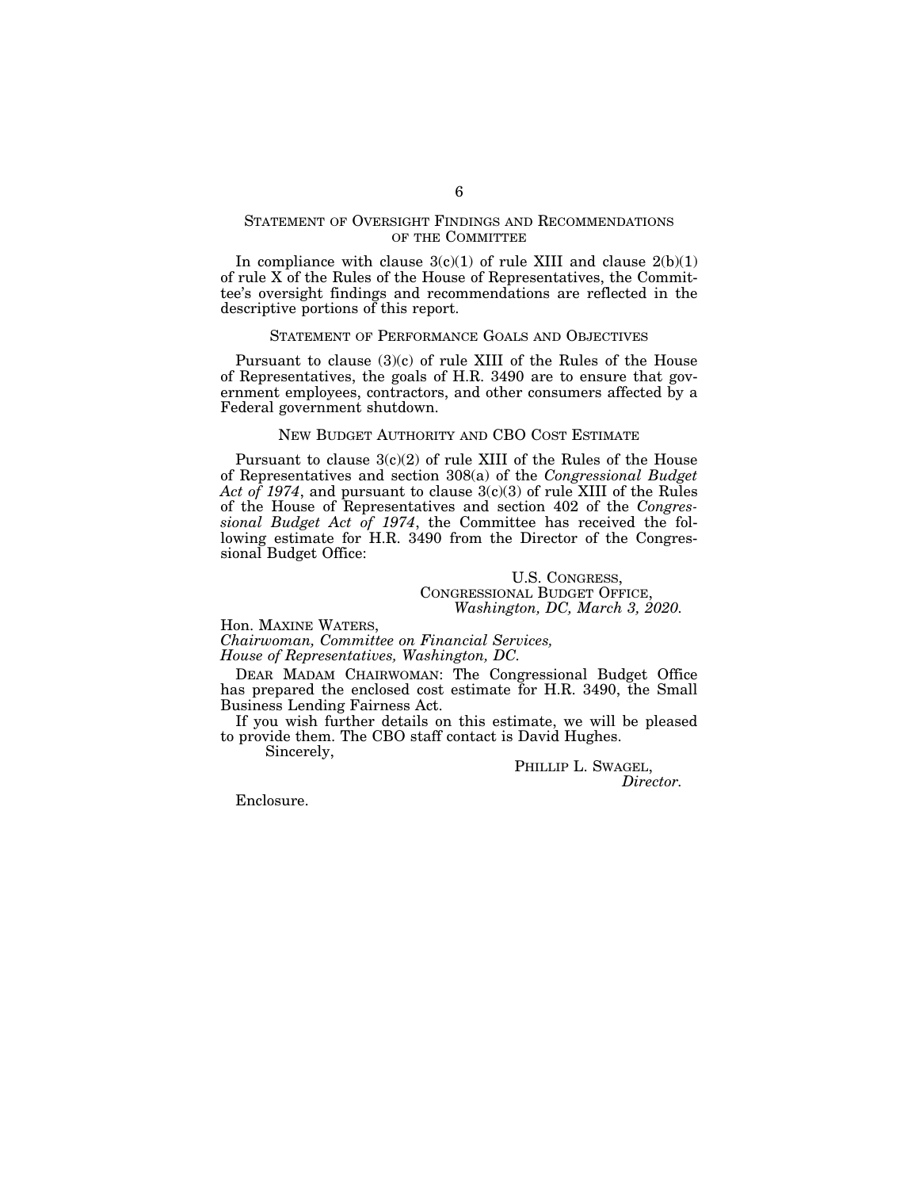# STATEMENT OF OVERSIGHT FINDINGS AND RECOMMENDATIONS OF THE COMMITTEE

In compliance with clause  $3(c)(1)$  of rule XIII and clause  $2(b)(1)$ of rule X of the Rules of the House of Representatives, the Committee's oversight findings and recommendations are reflected in the descriptive portions of this report.

#### STATEMENT OF PERFORMANCE GOALS AND OBJECTIVES

Pursuant to clause  $(3)(c)$  of rule XIII of the Rules of the House of Representatives, the goals of H.R. 3490 are to ensure that government employees, contractors, and other consumers affected by a Federal government shutdown.

### NEW BUDGET AUTHORITY AND CBO COST ESTIMATE

Pursuant to clause  $3(c)(2)$  of rule XIII of the Rules of the House of Representatives and section 308(a) of the *Congressional Budget Act of 1974*, and pursuant to clause 3(c)(3) of rule XIII of the Rules of the House of Representatives and section 402 of the *Congressional Budget Act of 1974*, the Committee has received the following estimate for H.R. 3490 from the Director of the Congressional Budget Office:

> U.S. CONGRESS, CONGRESSIONAL BUDGET OFFICE, *Washington, DC, March 3, 2020.*

Hon. MAXINE WATERS,

*Chairwoman, Committee on Financial Services, House of Representatives, Washington, DC.* 

DEAR MADAM CHAIRWOMAN: The Congressional Budget Office has prepared the enclosed cost estimate for H.R. 3490, the Small Business Lending Fairness Act.

If you wish further details on this estimate, we will be pleased to provide them. The CBO staff contact is David Hughes. Sincerely,

PHILLIP L. SWAGEL, *Director.* 

Enclosure.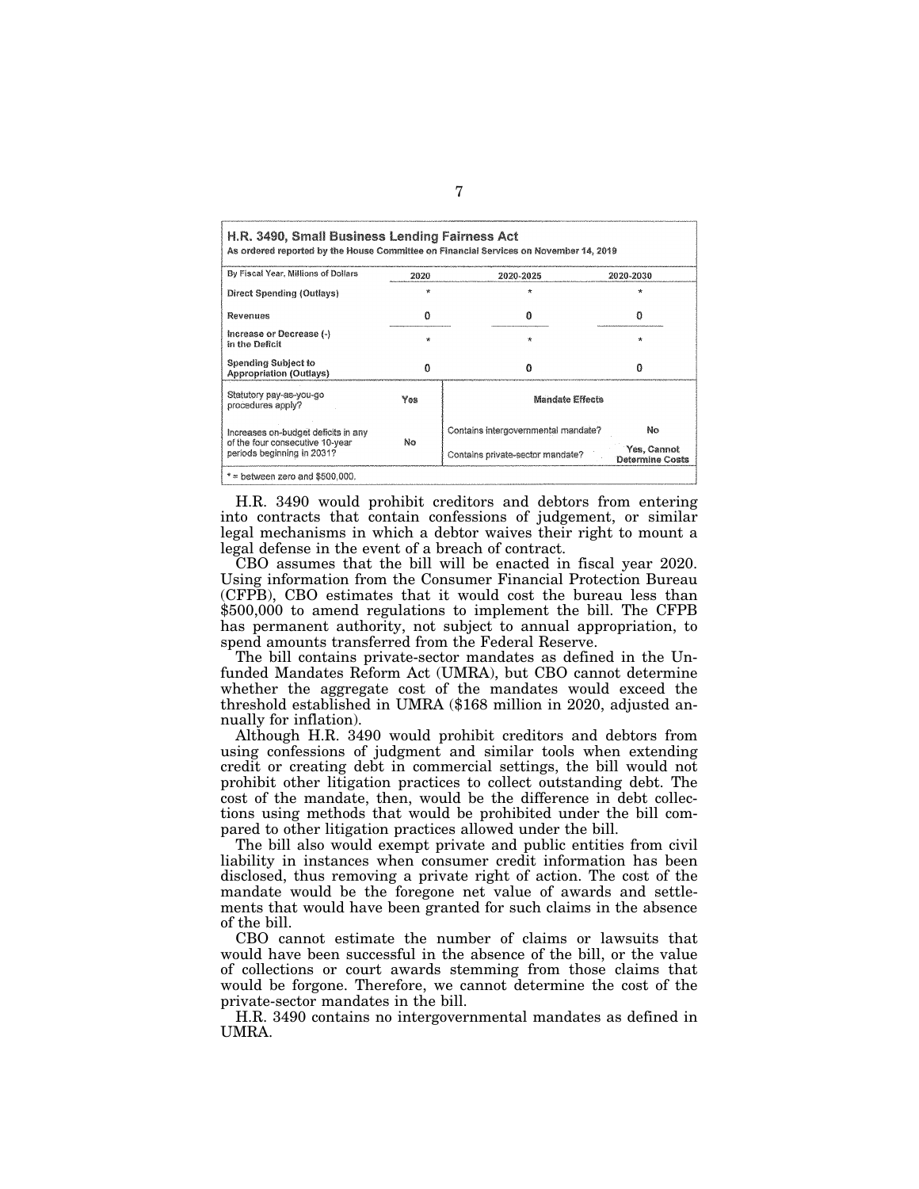| H.R. 3490, Small Business Lending Fairness Act                |      | As ordered reported by the House Committee on Financial Services on November 14, 2019 |                                       |
|---------------------------------------------------------------|------|---------------------------------------------------------------------------------------|---------------------------------------|
| By Fiscal Year, Millions of Dollars                           | 2020 | 2020-2025                                                                             | 2020-2030                             |
| Direct Spending (Outlays)                                     |      | $\star$                                                                               |                                       |
| <b>Revenues</b>                                               | ٥    | o                                                                                     | n                                     |
| Increase or Decrease (-)<br>in the Deficit                    | ŵ    | ÷.                                                                                    | sk.                                   |
| <b>Spending Subject to</b><br><b>Appropriation (Outlays)</b>  | o    | o                                                                                     | Ω                                     |
| Statutory pay-as-you-go<br>procedures apply?                  | Yes  | <b>Mandate Effects</b>                                                                |                                       |
| Increases on-budget deficits in any                           |      | Contains intergovernmental mandate?                                                   | No                                    |
| of the four consecutive 10-year<br>periods beginning in 2031? | No   | Contains private-sector mandate?                                                      | Yes, Cannot<br><b>Determine Costs</b> |

H.R. 3490 would prohibit creditors and debtors from entering into contracts that contain confessions of judgement, or similar legal mechanisms in which a debtor waives their right to mount a legal defense in the event of a breach of contract.

CBO assumes that the bill will be enacted in fiscal year 2020. Using information from the Consumer Financial Protection Bureau (CFPB), CBO estimates that it would cost the bureau less than \$500,000 to amend regulations to implement the bill. The CFPB has permanent authority, not subject to annual appropriation, to spend amounts transferred from the Federal Reserve.

The bill contains private-sector mandates as defined in the Unfunded Mandates Reform Act (UMRA), but CBO cannot determine whether the aggregate cost of the mandates would exceed the threshold established in UMRA (\$168 million in 2020, adjusted annually for inflation).

Although H.R. 3490 would prohibit creditors and debtors from using confessions of judgment and similar tools when extending credit or creating debt in commercial settings, the bill would not prohibit other litigation practices to collect outstanding debt. The cost of the mandate, then, would be the difference in debt collections using methods that would be prohibited under the bill compared to other litigation practices allowed under the bill.

The bill also would exempt private and public entities from civil liability in instances when consumer credit information has been disclosed, thus removing a private right of action. The cost of the mandate would be the foregone net value of awards and settlements that would have been granted for such claims in the absence of the bill.

CBO cannot estimate the number of claims or lawsuits that would have been successful in the absence of the bill, or the value of collections or court awards stemming from those claims that would be forgone. Therefore, we cannot determine the cost of the private-sector mandates in the bill.

H.R. 3490 contains no intergovernmental mandates as defined in UMRA.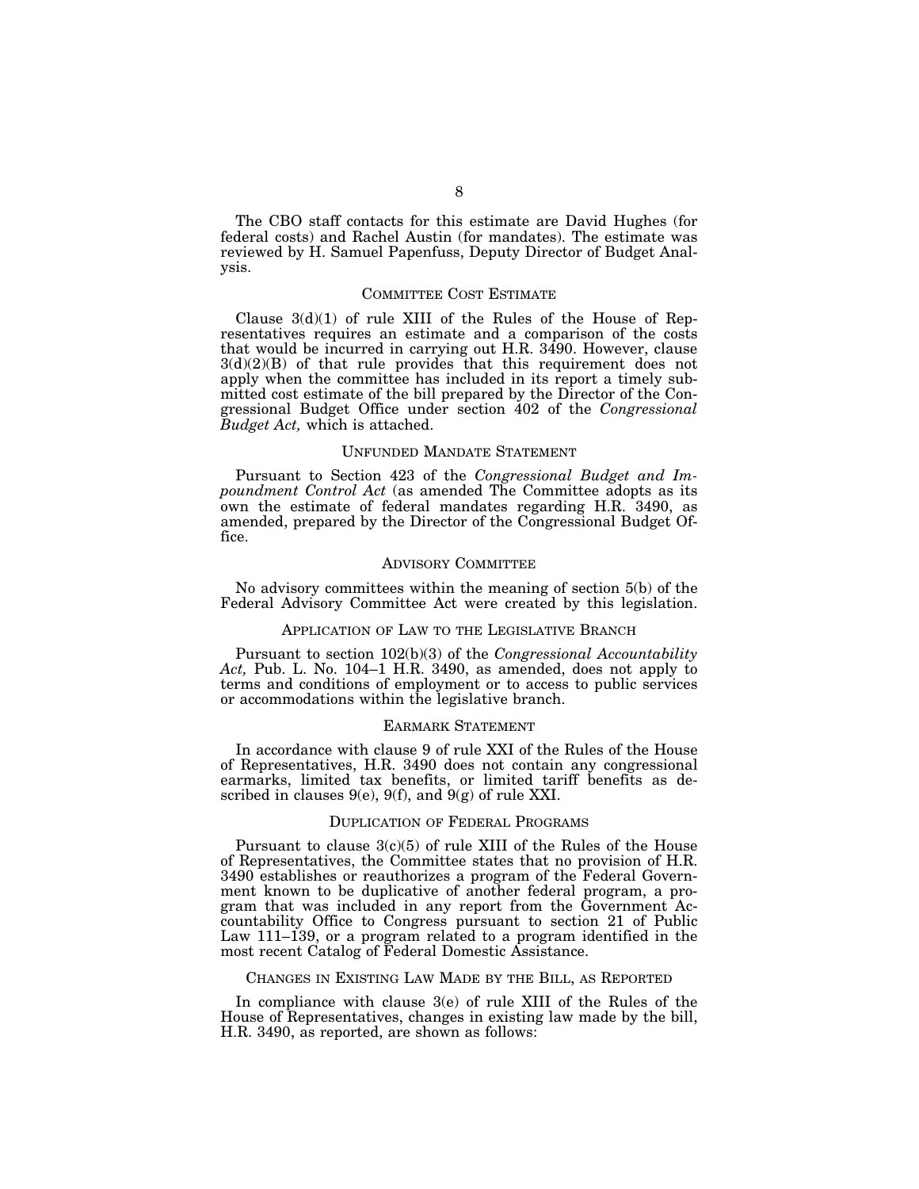The CBO staff contacts for this estimate are David Hughes (for federal costs) and Rachel Austin (for mandates). The estimate was reviewed by H. Samuel Papenfuss, Deputy Director of Budget Analysis.

#### COMMITTEE COST ESTIMATE

Clause  $3(d)(1)$  of rule XIII of the Rules of the House of Representatives requires an estimate and a comparison of the costs that would be incurred in carrying out H.R. 3490. However, clause  $3(d)(2)(B)$  of that rule provides that this requirement does not apply when the committee has included in its report a timely submitted cost estimate of the bill prepared by the Director of the Congressional Budget Office under section 402 of the *Congressional Budget Act,* which is attached.

#### UNFUNDED MANDATE STATEMENT

Pursuant to Section 423 of the *Congressional Budget and Impoundment Control Act* (as amended The Committee adopts as its own the estimate of federal mandates regarding H.R. 3490, as amended, prepared by the Director of the Congressional Budget Office.

#### ADVISORY COMMITTEE

No advisory committees within the meaning of section 5(b) of the Federal Advisory Committee Act were created by this legislation.

#### APPLICATION OF LAW TO THE LEGISLATIVE BRANCH

Pursuant to section 102(b)(3) of the *Congressional Accountability Act,* Pub. L. No. 104–1 H.R. 3490, as amended, does not apply to terms and conditions of employment or to access to public services or accommodations within the legislative branch.

#### EARMARK STATEMENT

In accordance with clause 9 of rule XXI of the Rules of the House of Representatives, H.R. 3490 does not contain any congressional earmarks, limited tax benefits, or limited tariff benefits as described in clauses  $9(e)$ ,  $9(f)$ , and  $9(g)$  of rule XXI.

#### DUPLICATION OF FEDERAL PROGRAMS

Pursuant to clause 3(c)(5) of rule XIII of the Rules of the House of Representatives, the Committee states that no provision of H.R. 3490 establishes or reauthorizes a program of the Federal Government known to be duplicative of another federal program, a program that was included in any report from the Government Accountability Office to Congress pursuant to section 21 of Public Law 111–139, or a program related to a program identified in the most recent Catalog of Federal Domestic Assistance.

#### CHANGES IN EXISTING LAW MADE BY THE BILL, AS REPORTED

In compliance with clause 3(e) of rule XIII of the Rules of the House of Representatives, changes in existing law made by the bill, H.R. 3490, as reported, are shown as follows: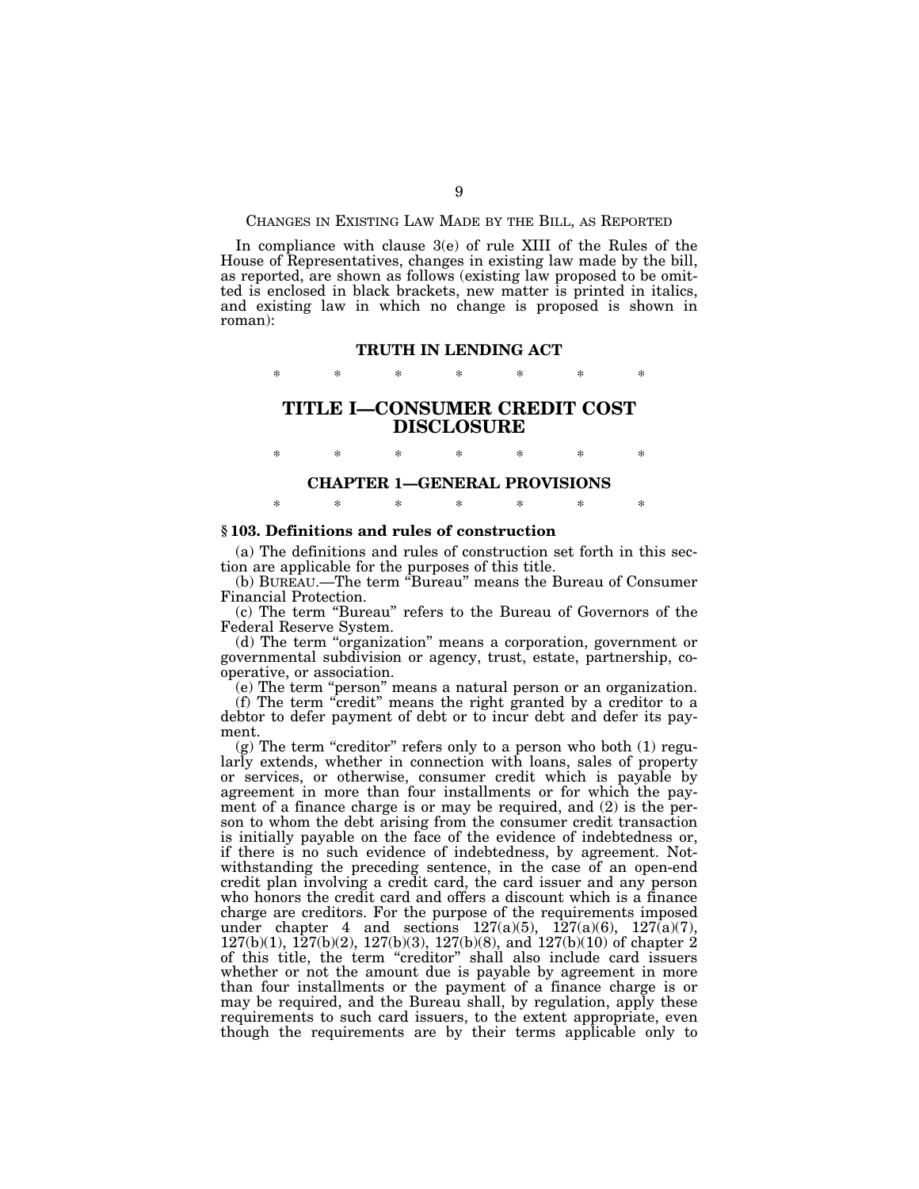#### CHANGES IN EXISTING LAW MADE BY THE BILL, AS REPORTED

In compliance with clause 3(e) of rule XIII of the Rules of the House of Representatives, changes in existing law made by the bill, as reported, are shown as follows (existing law proposed to be omitted is enclosed in black brackets, new matter is printed in italics, and existing law in which no change is proposed is shown in roman):

# **TRUTH IN LENDING ACT**

\* \* \* \* \* \* \*

# **TITLE I—CONSUMER CREDIT COST DISCLOSURE**

\* \* \* \* \* \* \*

### **CHAPTER 1—GENERAL PROVISIONS**

\* \* \* \* \* \* \*

# **§ 103. Definitions and rules of construction**

(a) The definitions and rules of construction set forth in this section are applicable for the purposes of this title.

(b) BUREAU.—The term ''Bureau'' means the Bureau of Consumer Financial Protection.

(c) The term ''Bureau'' refers to the Bureau of Governors of the Federal Reserve System.

(d) The term ''organization'' means a corporation, government or governmental subdivision or agency, trust, estate, partnership, cooperative, or association.

(e) The term ''person'' means a natural person or an organization.

(f) The term ''credit'' means the right granted by a creditor to a debtor to defer payment of debt or to incur debt and defer its payment.

 $(g)$  The term "creditor" refers only to a person who both  $(1)$  regularly extends, whether in connection with loans, sales of property or services, or otherwise, consumer credit which is payable by agreement in more than four installments or for which the payment of a finance charge is or may be required, and (2) is the person to whom the debt arising from the consumer credit transaction is initially payable on the face of the evidence of indebtedness or, if there is no such evidence of indebtedness, by agreement. Notwithstanding the preceding sentence, in the case of an open-end credit plan involving a credit card, the card issuer and any person who honors the credit card and offers a discount which is a finance charge are creditors. For the purpose of the requirements imposed under chapter 4 and sections  $127(a)(5)$ ,  $127(a)(6)$ ,  $127(a)(7)$ , 127(b)(1), 127(b)(2), 127(b)(3), 127(b)(8), and 127(b)(10) of chapter 2 of this title, the term ''creditor'' shall also include card issuers whether or not the amount due is payable by agreement in more than four installments or the payment of a finance charge is or may be required, and the Bureau shall, by regulation, apply these requirements to such card issuers, to the extent appropriate, even though the requirements are by their terms applicable only to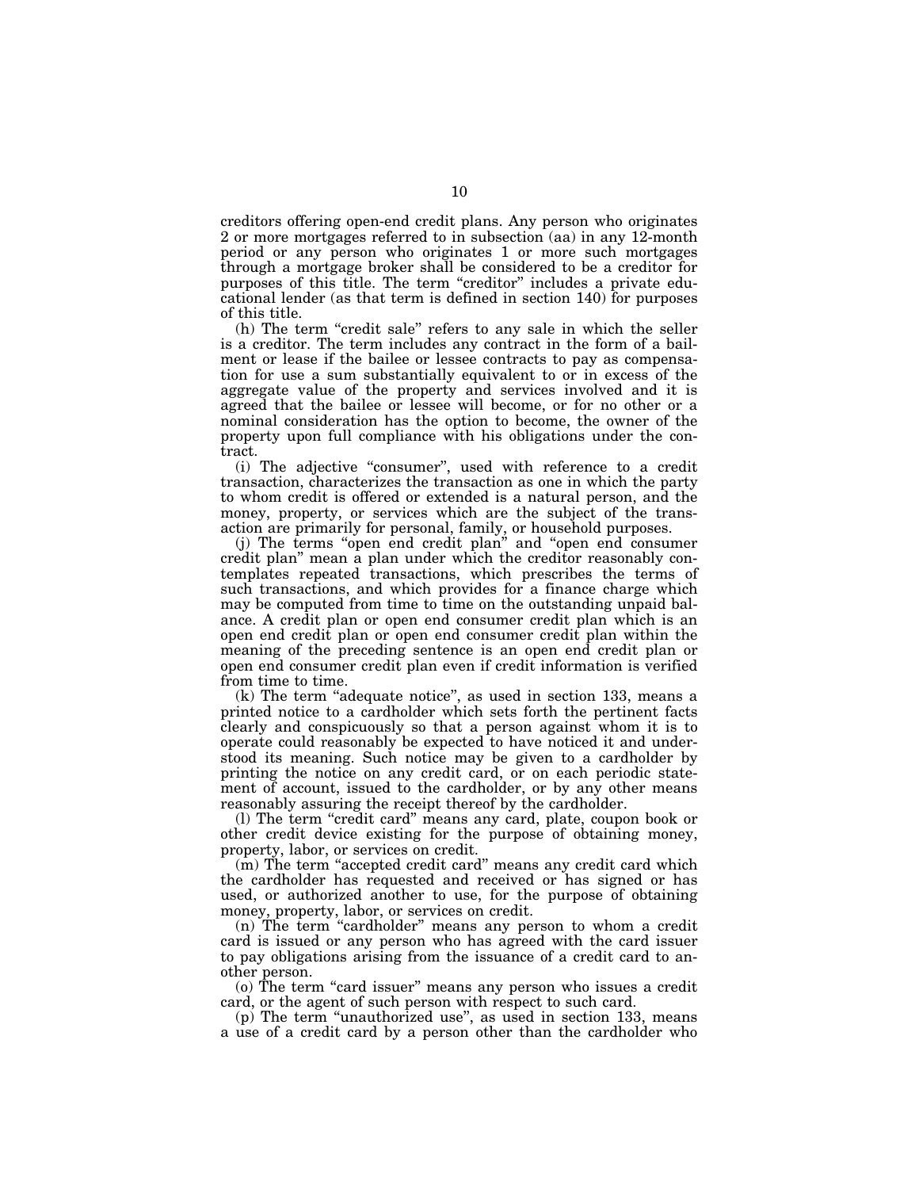creditors offering open-end credit plans. Any person who originates 2 or more mortgages referred to in subsection (aa) in any 12-month period or any person who originates 1 or more such mortgages through a mortgage broker shall be considered to be a creditor for purposes of this title. The term "creditor" includes a private educational lender (as that term is defined in section 140) for purposes of this title.

(h) The term ''credit sale'' refers to any sale in which the seller is a creditor. The term includes any contract in the form of a bailment or lease if the bailee or lessee contracts to pay as compensation for use a sum substantially equivalent to or in excess of the aggregate value of the property and services involved and it is agreed that the bailee or lessee will become, or for no other or a nominal consideration has the option to become, the owner of the property upon full compliance with his obligations under the contract.

(i) The adjective ''consumer'', used with reference to a credit transaction, characterizes the transaction as one in which the party to whom credit is offered or extended is a natural person, and the money, property, or services which are the subject of the transaction are primarily for personal, family, or household purposes.

(j) The terms ''open end credit plan'' and ''open end consumer credit plan'' mean a plan under which the creditor reasonably contemplates repeated transactions, which prescribes the terms of such transactions, and which provides for a finance charge which may be computed from time to time on the outstanding unpaid balance. A credit plan or open end consumer credit plan which is an open end credit plan or open end consumer credit plan within the meaning of the preceding sentence is an open end credit plan or open end consumer credit plan even if credit information is verified from time to time.

(k) The term ''adequate notice'', as used in section 133, means a printed notice to a cardholder which sets forth the pertinent facts clearly and conspicuously so that a person against whom it is to operate could reasonably be expected to have noticed it and understood its meaning. Such notice may be given to a cardholder by printing the notice on any credit card, or on each periodic statement of account, issued to the cardholder, or by any other means reasonably assuring the receipt thereof by the cardholder.

(l) The term ''credit card'' means any card, plate, coupon book or other credit device existing for the purpose of obtaining money, property, labor, or services on credit.

(m) The term ''accepted credit card'' means any credit card which the cardholder has requested and received or has signed or has used, or authorized another to use, for the purpose of obtaining money, property, labor, or services on credit.

(n) The term "cardholder" means any person to whom a credit card is issued or any person who has agreed with the card issuer to pay obligations arising from the issuance of a credit card to another person.

(o) The term ''card issuer'' means any person who issues a credit card, or the agent of such person with respect to such card.

(p) The term ''unauthorized use'', as used in section 133, means a use of a credit card by a person other than the cardholder who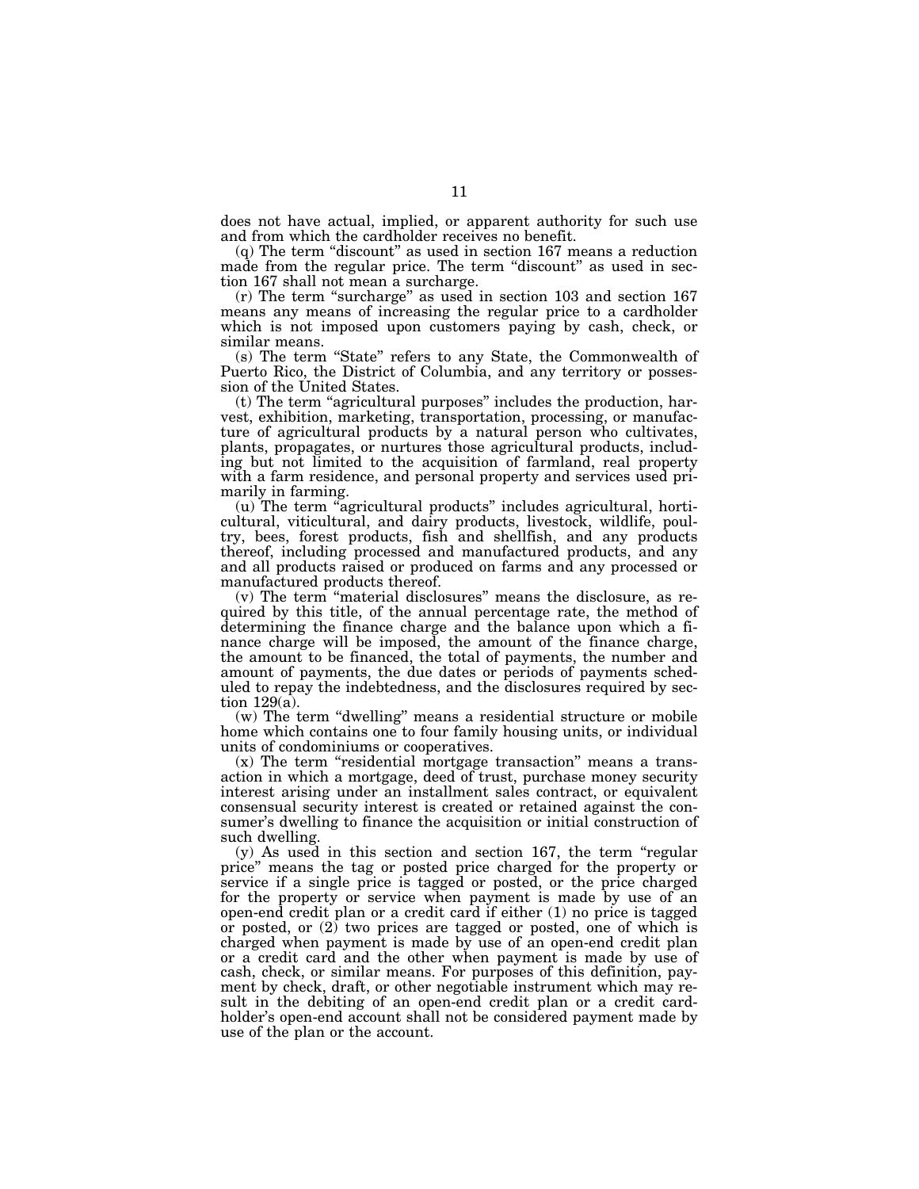does not have actual, implied, or apparent authority for such use and from which the cardholder receives no benefit.

(q) The term ''discount'' as used in section 167 means a reduction made from the regular price. The term "discount" as used in section 167 shall not mean a surcharge.

(r) The term ''surcharge'' as used in section 103 and section 167 means any means of increasing the regular price to a cardholder which is not imposed upon customers paying by cash, check, or similar means.

(s) The term ''State'' refers to any State, the Commonwealth of Puerto Rico, the District of Columbia, and any territory or possession of the United States.

(t) The term ''agricultural purposes'' includes the production, harvest, exhibition, marketing, transportation, processing, or manufacture of agricultural products by a natural person who cultivates, plants, propagates, or nurtures those agricultural products, including but not limited to the acquisition of farmland, real property with a farm residence, and personal property and services used primarily in farming.

(u) The term ''agricultural products'' includes agricultural, horticultural, viticultural, and dairy products, livestock, wildlife, poultry, bees, forest products, fish and shellfish, and any products thereof, including processed and manufactured products, and any and all products raised or produced on farms and any processed or manufactured products thereof.

(v) The term ''material disclosures'' means the disclosure, as required by this title, of the annual percentage rate, the method of determining the finance charge and the balance upon which a finance charge will be imposed, the amount of the finance charge, the amount to be financed, the total of payments, the number and amount of payments, the due dates or periods of payments scheduled to repay the indebtedness, and the disclosures required by section  $129(a)$ .

(w) The term ''dwelling'' means a residential structure or mobile home which contains one to four family housing units, or individual units of condominiums or cooperatives.

 $(x)$  The term "residential mortgage transaction" means a transaction in which a mortgage, deed of trust, purchase money security interest arising under an installment sales contract, or equivalent consensual security interest is created or retained against the consumer's dwelling to finance the acquisition or initial construction of such dwelling.

(y) As used in this section and section 167, the term ''regular price'' means the tag or posted price charged for the property or service if a single price is tagged or posted, or the price charged for the property or service when payment is made by use of an open-end credit plan or a credit card if either (1) no price is tagged or posted, or (2) two prices are tagged or posted, one of which is charged when payment is made by use of an open-end credit plan or a credit card and the other when payment is made by use of cash, check, or similar means. For purposes of this definition, payment by check, draft, or other negotiable instrument which may result in the debiting of an open-end credit plan or a credit cardholder's open-end account shall not be considered payment made by use of the plan or the account.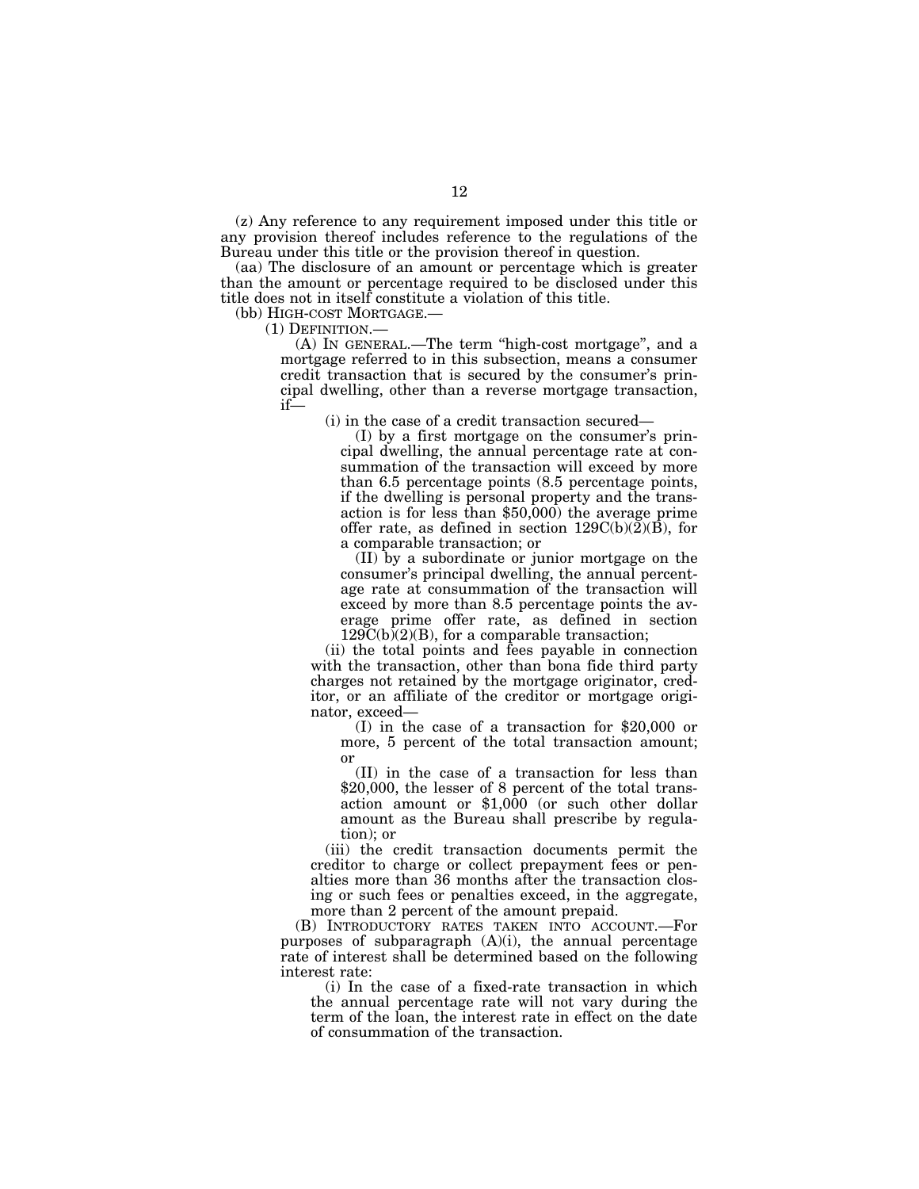(z) Any reference to any requirement imposed under this title or any provision thereof includes reference to the regulations of the Bureau under this title or the provision thereof in question.

(aa) The disclosure of an amount or percentage which is greater than the amount or percentage required to be disclosed under this title does not in itself constitute a violation of this title.

(bb) HIGH-COST MORTGAGE.—

(1) DEFINITION.—

(A) IN GENERAL.—The term ''high-cost mortgage'', and a mortgage referred to in this subsection, means a consumer credit transaction that is secured by the consumer's principal dwelling, other than a reverse mortgage transaction, if—

(i) in the case of a credit transaction secured—

(I) by a first mortgage on the consumer's principal dwelling, the annual percentage rate at consummation of the transaction will exceed by more than 6.5 percentage points (8.5 percentage points, if the dwelling is personal property and the transaction is for less than \$50,000) the average prime offer rate, as defined in section  $129C(b)(\overline{2})(\overline{B})$ , for a comparable transaction; or

(II) by a subordinate or junior mortgage on the consumer's principal dwelling, the annual percentage rate at consummation of the transaction will exceed by more than 8.5 percentage points the average prime offer rate, as defined in section  $129C(b)(2)(B)$ , for a comparable transaction;

(ii) the total points and fees payable in connection with the transaction, other than bona fide third party charges not retained by the mortgage originator, creditor, or an affiliate of the creditor or mortgage originator, exceed—

(I) in the case of a transaction for \$20,000 or more, 5 percent of the total transaction amount; or

(II) in the case of a transaction for less than \$20,000, the lesser of 8 percent of the total transaction amount or \$1,000 (or such other dollar amount as the Bureau shall prescribe by regulation); or

(iii) the credit transaction documents permit the creditor to charge or collect prepayment fees or penalties more than 36 months after the transaction closing or such fees or penalties exceed, in the aggregate, more than 2 percent of the amount prepaid.

(B) INTRODUCTORY RATES TAKEN INTO ACCOUNT.—For purposes of subparagraph  $(A)(i)$ , the annual percentage rate of interest shall be determined based on the following interest rate:

(i) In the case of a fixed-rate transaction in which the annual percentage rate will not vary during the term of the loan, the interest rate in effect on the date of consummation of the transaction.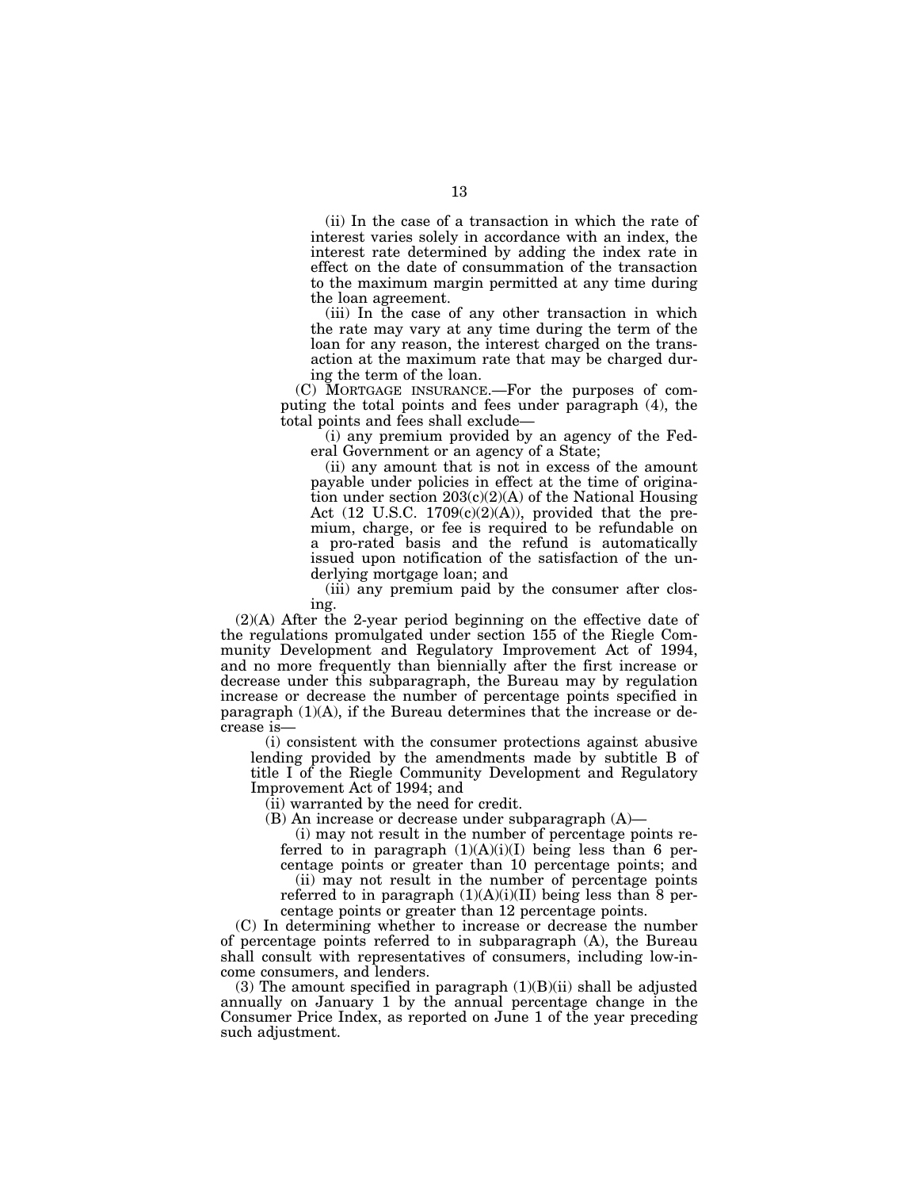(ii) In the case of a transaction in which the rate of interest varies solely in accordance with an index, the interest rate determined by adding the index rate in effect on the date of consummation of the transaction to the maximum margin permitted at any time during the loan agreement.

(iii) In the case of any other transaction in which the rate may vary at any time during the term of the loan for any reason, the interest charged on the transaction at the maximum rate that may be charged during the term of the loan.

(C) MORTGAGE INSURANCE.—For the purposes of computing the total points and fees under paragraph (4), the total points and fees shall exclude—

(i) any premium provided by an agency of the Federal Government or an agency of a State;

(ii) any amount that is not in excess of the amount payable under policies in effect at the time of origination under section  $203(c)(2)(A)$  of the National Housing Act (12 U.S.C. 1709(c)(2)(A)), provided that the premium, charge, or fee is required to be refundable on a pro-rated basis and the refund is automatically issued upon notification of the satisfaction of the underlying mortgage loan; and

(iii) any premium paid by the consumer after closing.

(2)(A) After the 2-year period beginning on the effective date of the regulations promulgated under section 155 of the Riegle Community Development and Regulatory Improvement Act of 1994, and no more frequently than biennially after the first increase or decrease under this subparagraph, the Bureau may by regulation increase or decrease the number of percentage points specified in paragraph  $(1)(A)$ , if the Bureau determines that the increase or decrease is—

(i) consistent with the consumer protections against abusive lending provided by the amendments made by subtitle B of title I of the Riegle Community Development and Regulatory Improvement Act of 1994; and

(ii) warranted by the need for credit.

(B) An increase or decrease under subparagraph (A)—

(i) may not result in the number of percentage points referred to in paragraph  $(1)(A)(i)(I)$  being less than 6 percentage points or greater than 10 percentage points; and

(ii) may not result in the number of percentage points referred to in paragraph  $(1)(A)(i)(II)$  being less than 8 percentage points or greater than 12 percentage points.

(C) In determining whether to increase or decrease the number of percentage points referred to in subparagraph (A), the Bureau shall consult with representatives of consumers, including low-income consumers, and lenders.

(3) The amount specified in paragraph  $(1)(B)(ii)$  shall be adjusted annually on January 1 by the annual percentage change in the Consumer Price Index, as reported on June 1 of the year preceding such adjustment.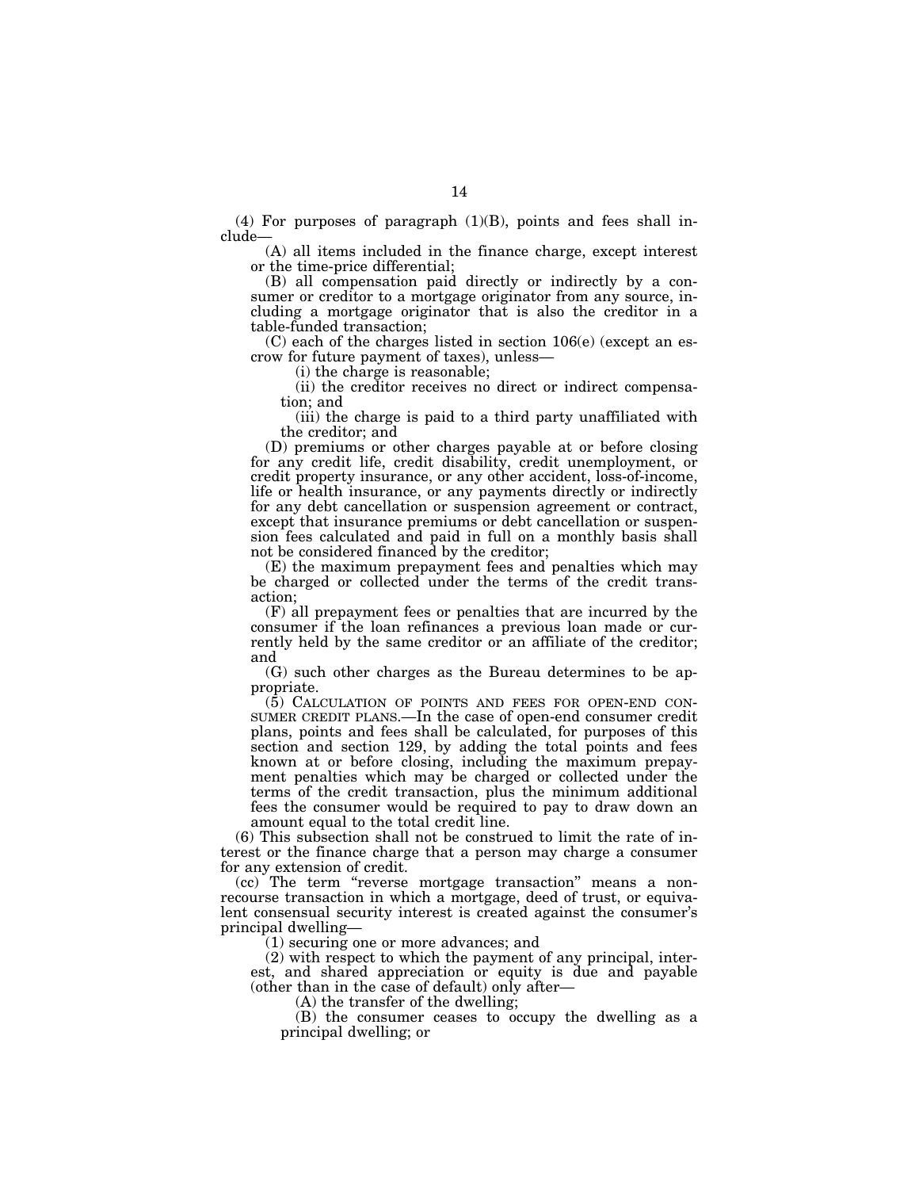(4) For purposes of paragraph  $(1)(B)$ , points and fees shall include—

(A) all items included in the finance charge, except interest or the time-price differential;

(B) all compensation paid directly or indirectly by a consumer or creditor to a mortgage originator from any source, including a mortgage originator that is also the creditor in a table-funded transaction;

(C) each of the charges listed in section 106(e) (except an escrow for future payment of taxes), unless—

(i) the charge is reasonable;

(ii) the creditor receives no direct or indirect compensation; and

(iii) the charge is paid to a third party unaffiliated with the creditor; and

(D) premiums or other charges payable at or before closing for any credit life, credit disability, credit unemployment, or credit property insurance, or any other accident, loss-of-income, life or health insurance, or any payments directly or indirectly for any debt cancellation or suspension agreement or contract, except that insurance premiums or debt cancellation or suspension fees calculated and paid in full on a monthly basis shall not be considered financed by the creditor;

(E) the maximum prepayment fees and penalties which may be charged or collected under the terms of the credit transaction;

(F) all prepayment fees or penalties that are incurred by the consumer if the loan refinances a previous loan made or currently held by the same creditor or an affiliate of the creditor; and

(G) such other charges as the Bureau determines to be ap-

propriate.<br>
(5) CALCULATION OF POINTS AND FEES FOR OPEN-END CON-SUMER CREDIT PLANS.—In the case of open-end consumer credit plans, points and fees shall be calculated, for purposes of this section and section 129, by adding the total points and fees known at or before closing, including the maximum prepayment penalties which may be charged or collected under the terms of the credit transaction, plus the minimum additional fees the consumer would be required to pay to draw down an amount equal to the total credit line.

(6) This subsection shall not be construed to limit the rate of interest or the finance charge that a person may charge a consumer for any extension of credit.

(cc) The term ''reverse mortgage transaction'' means a nonrecourse transaction in which a mortgage, deed of trust, or equivalent consensual security interest is created against the consumer's principal dwelling—

(1) securing one or more advances; and

(2) with respect to which the payment of any principal, interest, and shared appreciation or equity is due and payable (other than in the case of default) only after—

(A) the transfer of the dwelling;

(B) the consumer ceases to occupy the dwelling as a principal dwelling; or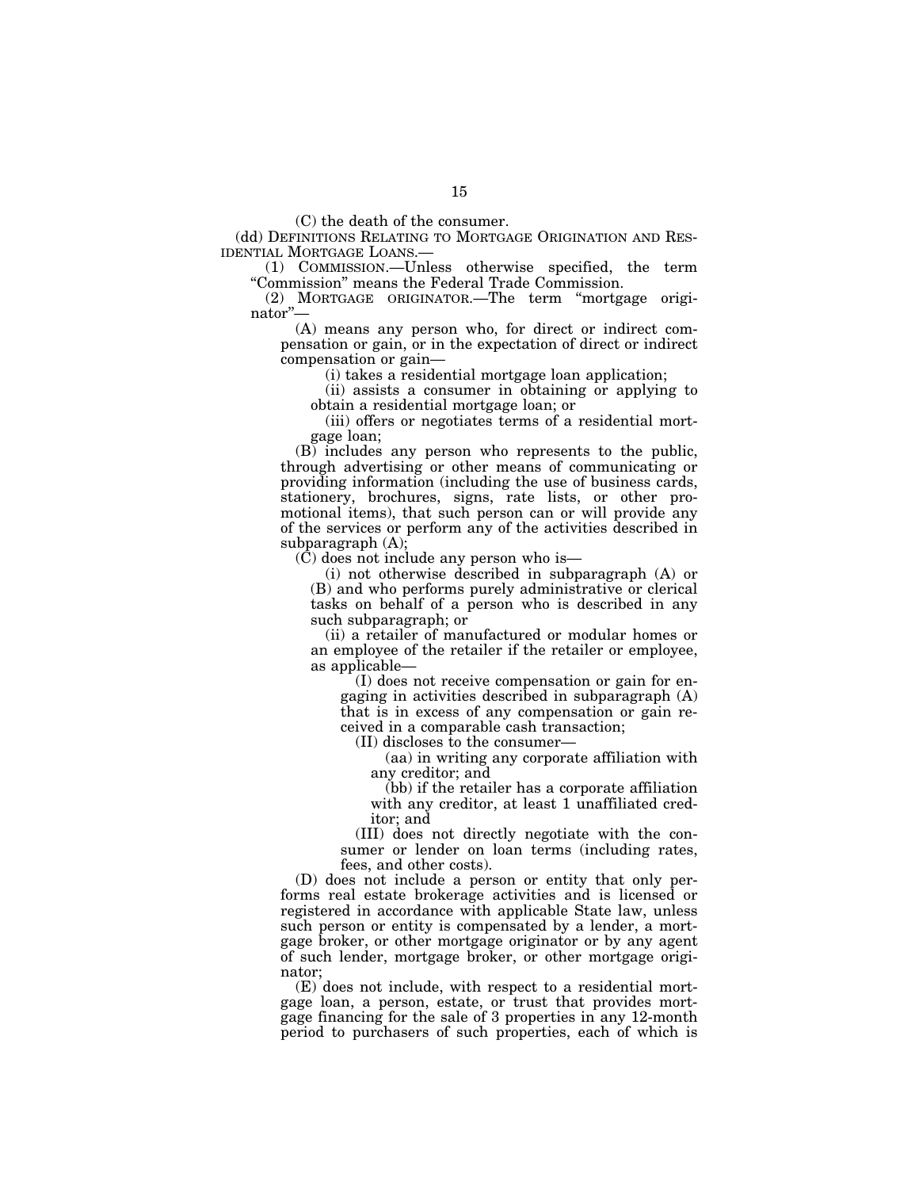(C) the death of the consumer.

(dd) DEFINITIONS RELATING TO MORTGAGE ORIGINATION AND RES-IDENTIAL MORTGAGE LOANS.—

(1) COMMISSION.—Unless otherwise specified, the term ''Commission'' means the Federal Trade Commission.

(2) MORTGAGE ORIGINATOR.—The term ''mortgage originator''—

(A) means any person who, for direct or indirect compensation or gain, or in the expectation of direct or indirect compensation or gain—

(i) takes a residential mortgage loan application;

(ii) assists a consumer in obtaining or applying to obtain a residential mortgage loan; or

(iii) offers or negotiates terms of a residential mortgage loan;

(B) includes any person who represents to the public, through advertising or other means of communicating or providing information (including the use of business cards, stationery, brochures, signs, rate lists, or other promotional items), that such person can or will provide any of the services or perform any of the activities described in subparagraph (A);

(C) does not include any person who is—

(i) not otherwise described in subparagraph (A) or (B) and who performs purely administrative or clerical tasks on behalf of a person who is described in any such subparagraph; or

(ii) a retailer of manufactured or modular homes or an employee of the retailer if the retailer or employee, as applicable—

(I) does not receive compensation or gain for engaging in activities described in subparagraph (A) that is in excess of any compensation or gain received in a comparable cash transaction;

(II) discloses to the consumer—

(aa) in writing any corporate affiliation with any creditor; and

(bb) if the retailer has a corporate affiliation with any creditor, at least 1 unaffiliated creditor; and

(III) does not directly negotiate with the consumer or lender on loan terms (including rates, fees, and other costs).

(D) does not include a person or entity that only performs real estate brokerage activities and is licensed or registered in accordance with applicable State law, unless such person or entity is compensated by a lender, a mortgage broker, or other mortgage originator or by any agent of such lender, mortgage broker, or other mortgage originator;

(E) does not include, with respect to a residential mortgage loan, a person, estate, or trust that provides mortgage financing for the sale of 3 properties in any 12-month period to purchasers of such properties, each of which is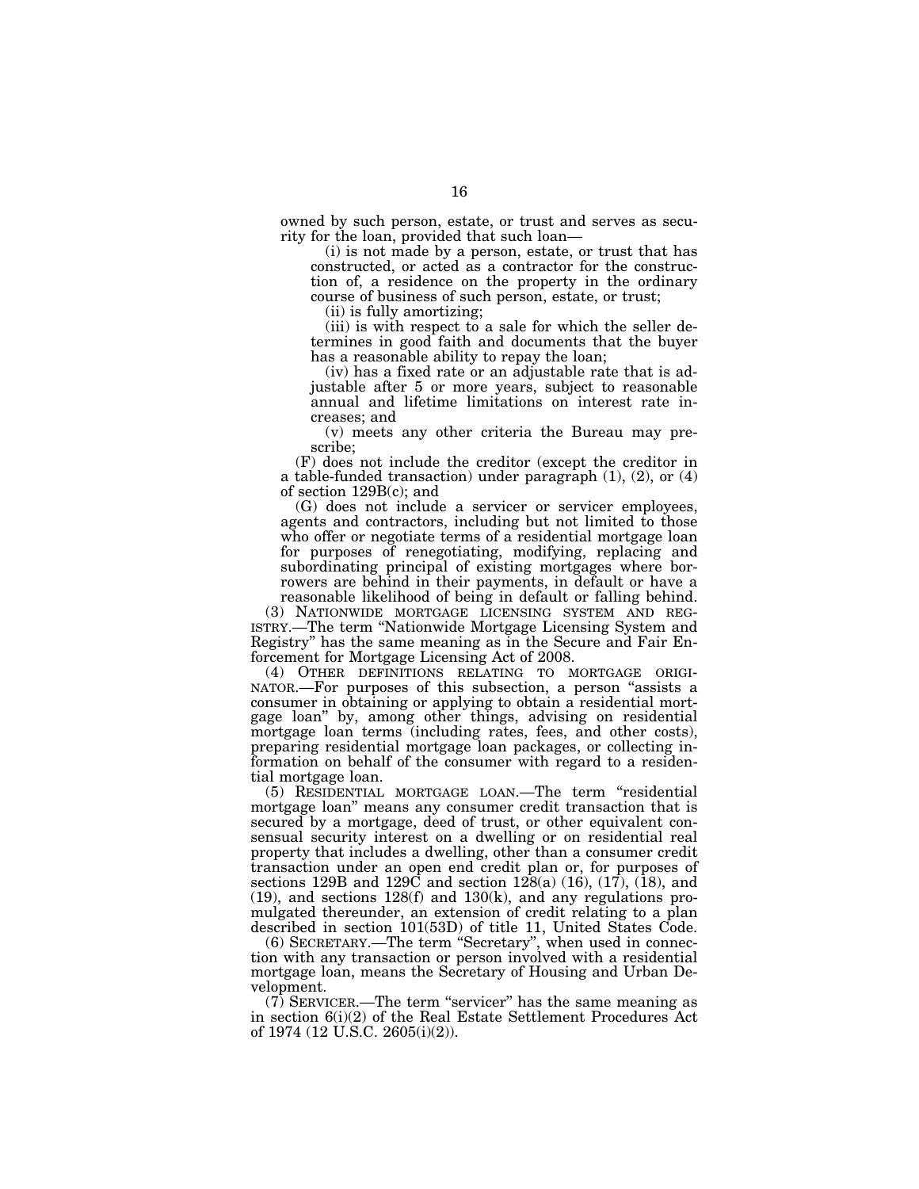owned by such person, estate, or trust and serves as security for the loan, provided that such loan—

(i) is not made by a person, estate, or trust that has constructed, or acted as a contractor for the construction of, a residence on the property in the ordinary course of business of such person, estate, or trust;

(ii) is fully amortizing;

(iii) is with respect to a sale for which the seller determines in good faith and documents that the buyer has a reasonable ability to repay the loan;

(iv) has a fixed rate or an adjustable rate that is adjustable after 5 or more years, subject to reasonable annual and lifetime limitations on interest rate increases; and

(v) meets any other criteria the Bureau may prescribe;

(F) does not include the creditor (except the creditor in a table-funded transaction) under paragraph (1), (2), or (4) of section 129B(c); and

(G) does not include a servicer or servicer employees, agents and contractors, including but not limited to those who offer or negotiate terms of a residential mortgage loan for purposes of renegotiating, modifying, replacing and subordinating principal of existing mortgages where borrowers are behind in their payments, in default or have a

reasonable likelihood of being in default or falling behind.<br>(3) NATIONWIDE MORTGAGE LICENSING SYSTEM AND REG-ISTRY.—The term "Nationwide Mortgage Licensing System and Registry'' has the same meaning as in the Secure and Fair Enforcement for Mortgage Licensing Act of 2008.

(4) OTHER DEFINITIONS RELATING TO MORTGAGE ORIGI-NATOR.—For purposes of this subsection, a person ''assists a consumer in obtaining or applying to obtain a residential mortgage loan'' by, among other things, advising on residential mortgage loan terms (including rates, fees, and other costs), preparing residential mortgage loan packages, or collecting information on behalf of the consumer with regard to a residential mortgage loan.

(5) RESIDENTIAL MORTGAGE LOAN.—The term ''residential mortgage loan'' means any consumer credit transaction that is secured by a mortgage, deed of trust, or other equivalent consensual security interest on a dwelling or on residential real property that includes a dwelling, other than a consumer credit transaction under an open end credit plan or, for purposes of sections 129B and 129C and section 128(a) (16), (17), (18), and (19), and sections 128(f) and 130(k), and any regulations promulgated thereunder, an extension of credit relating to a plan described in section 101(53D) of title 11, United States Code.

(6) SECRETARY.—The term ''Secretary'', when used in connection with any transaction or person involved with a residential mortgage loan, means the Secretary of Housing and Urban Development.

(7) SERVICER.—The term ''servicer'' has the same meaning as in section 6(i)(2) of the Real Estate Settlement Procedures Act of 1974 (12 U.S.C. 2605(i)(2)).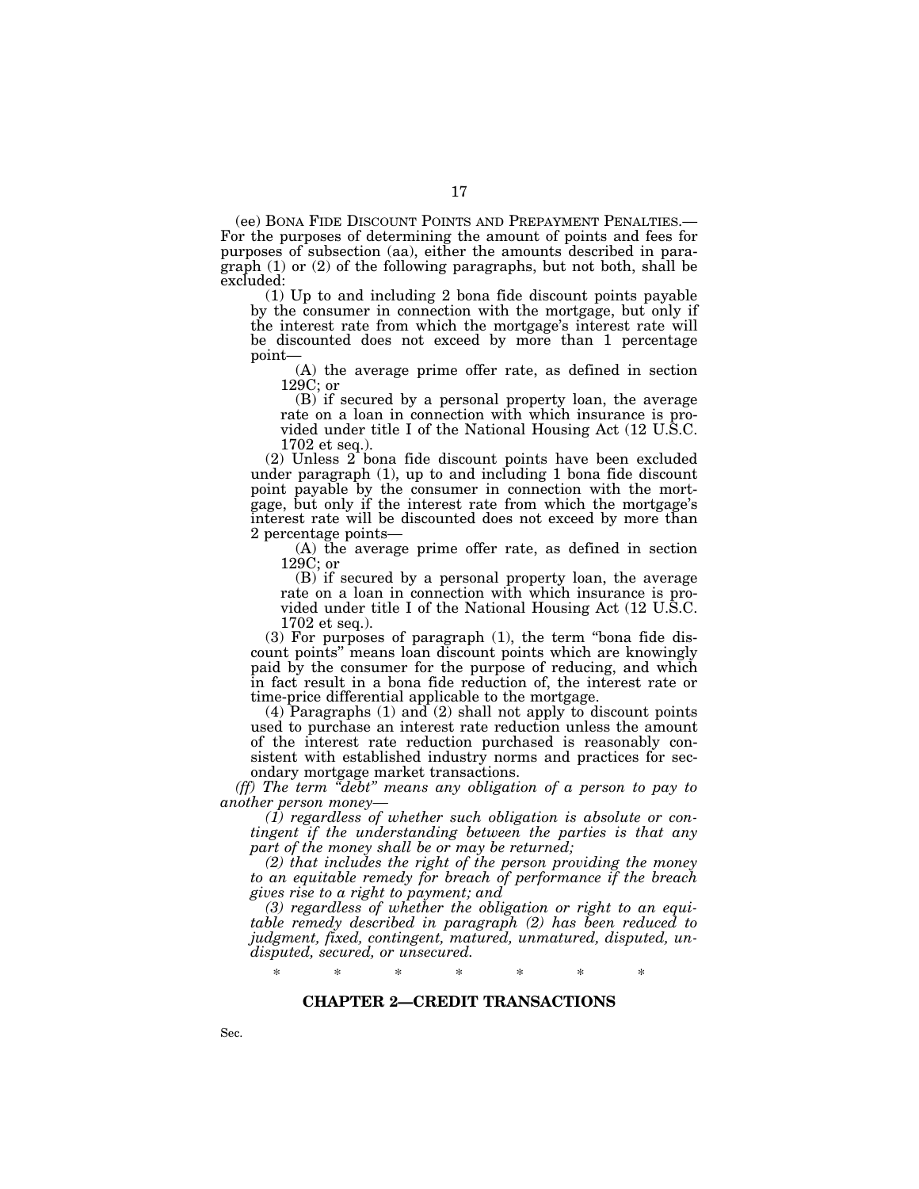(ee) BONA FIDE DISCOUNT POINTS AND PREPAYMENT PENALTIES.— For the purposes of determining the amount of points and fees for purposes of subsection (aa), either the amounts described in paragraph (1) or (2) of the following paragraphs, but not both, shall be excluded:

(1) Up to and including 2 bona fide discount points payable by the consumer in connection with the mortgage, but only if the interest rate from which the mortgage's interest rate will be discounted does not exceed by more than 1 percentage point—

(A) the average prime offer rate, as defined in section 129C; or

(B) if secured by a personal property loan, the average rate on a loan in connection with which insurance is provided under title I of the National Housing Act (12 U.S.C. 1702 et seq.).

(2) Unless 2 bona fide discount points have been excluded under paragraph (1), up to and including 1 bona fide discount point payable by the consumer in connection with the mortgage, but only if the interest rate from which the mortgage's interest rate will be discounted does not exceed by more than 2 percentage points—

(A) the average prime offer rate, as defined in section 129C; or

(B) if secured by a personal property loan, the average rate on a loan in connection with which insurance is provided under title I of the National Housing Act (12 U.S.C. 1702 et seq.).

(3) For purposes of paragraph (1), the term ''bona fide discount points'' means loan discount points which are knowingly paid by the consumer for the purpose of reducing, and which in fact result in a bona fide reduction of, the interest rate or time-price differential applicable to the mortgage.

(4) Paragraphs (1) and (2) shall not apply to discount points used to purchase an interest rate reduction unless the amount of the interest rate reduction purchased is reasonably consistent with established industry norms and practices for secondary mortgage market transactions.

*(ff) The term ''debt'' means any obligation of a person to pay to another person money—* 

*(1) regardless of whether such obligation is absolute or contingent if the understanding between the parties is that any part of the money shall be or may be returned;* 

*(2) that includes the right of the person providing the money to an equitable remedy for breach of performance if the breach gives rise to a right to payment; and* 

*(3) regardless of whether the obligation or right to an equitable remedy described in paragraph (2) has been reduced to judgment, fixed, contingent, matured, unmatured, disputed, undisputed, secured, or unsecured.* 

\* \* \* \* \* \* \*

Sec.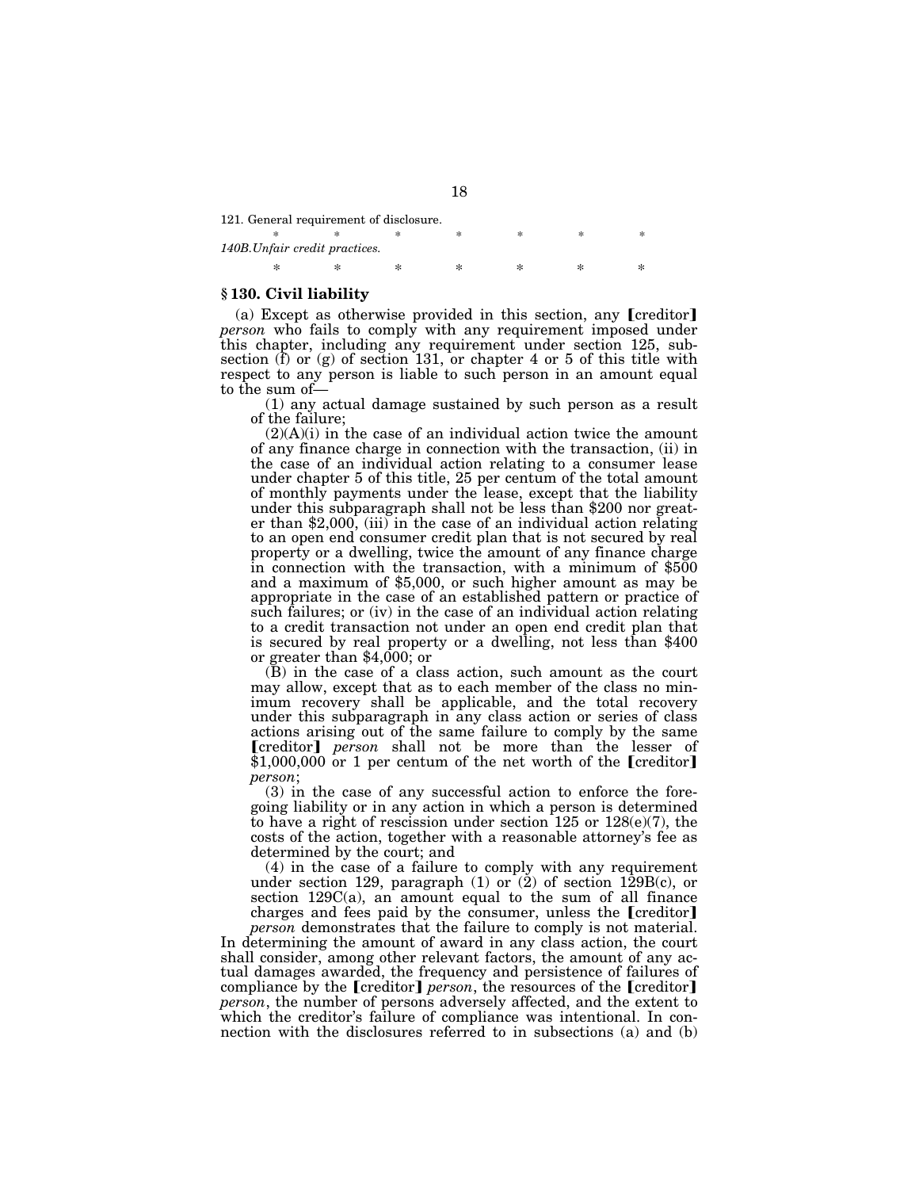121. General requirement of disclosure.

\* \* \* \* \* \* \* \* *140B.Unfair credit practices.* 

\* \* \* \* \* \* \*

# **§ 130. Civil liability**

(a) Except as otherwise provided in this section, any  $[{\rm creditor}]$ *person* who fails to comply with any requirement imposed under this chapter, including any requirement under section 125, subsection (f) or  $(g)$  of section 131, or chapter 4 or 5 of this title with respect to any person is liable to such person in an amount equal to the sum of—

(1) any actual damage sustained by such person as a result of the failure;

 $(2)(A)(i)$  in the case of an individual action twice the amount of any finance charge in connection with the transaction, (ii) in the case of an individual action relating to a consumer lease under chapter 5 of this title, 25 per centum of the total amount of monthly payments under the lease, except that the liability under this subparagraph shall not be less than \$200 nor greater than \$2,000, (iii) in the case of an individual action relating to an open end consumer credit plan that is not secured by real property or a dwelling, twice the amount of any finance charge in connection with the transaction, with a minimum of \$500 and a maximum of \$5,000, or such higher amount as may be appropriate in the case of an established pattern or practice of such failures; or (iv) in the case of an individual action relating to a credit transaction not under an open end credit plan that is secured by real property or a dwelling, not less than \$400 or greater than \$4,000; or

(B) in the case of a class action, such amount as the court may allow, except that as to each member of the class no minimum recovery shall be applicable, and the total recovery under this subparagraph in any class action or series of class actions arising out of the same failure to comply by the same **[creditor]** *person* shall not be more than the lesser of  $$1,000,000$  or 1 per centum of the net worth of the [creditor] *person*;

(3) in the case of any successful action to enforce the foregoing liability or in any action in which a person is determined to have a right of rescission under section 125 or 128(e)(7), the costs of the action, together with a reasonable attorney's fee as determined by the court; and

(4) in the case of a failure to comply with any requirement under section 129, paragraph (1) or  $(2)$  of section 129B(c), or section  $129C(a)$ , an amount equal to the sum of all finance charges and fees paid by the consumer, unless the [creditor]

*person* demonstrates that the failure to comply is not material. In determining the amount of award in any class action, the court shall consider, among other relevant factors, the amount of any actual damages awarded, the frequency and persistence of failures of compliance by the *[creditor] person*, the resources of the *[creditor] person*, the number of persons adversely affected, and the extent to which the creditor's failure of compliance was intentional. In connection with the disclosures referred to in subsections (a) and (b)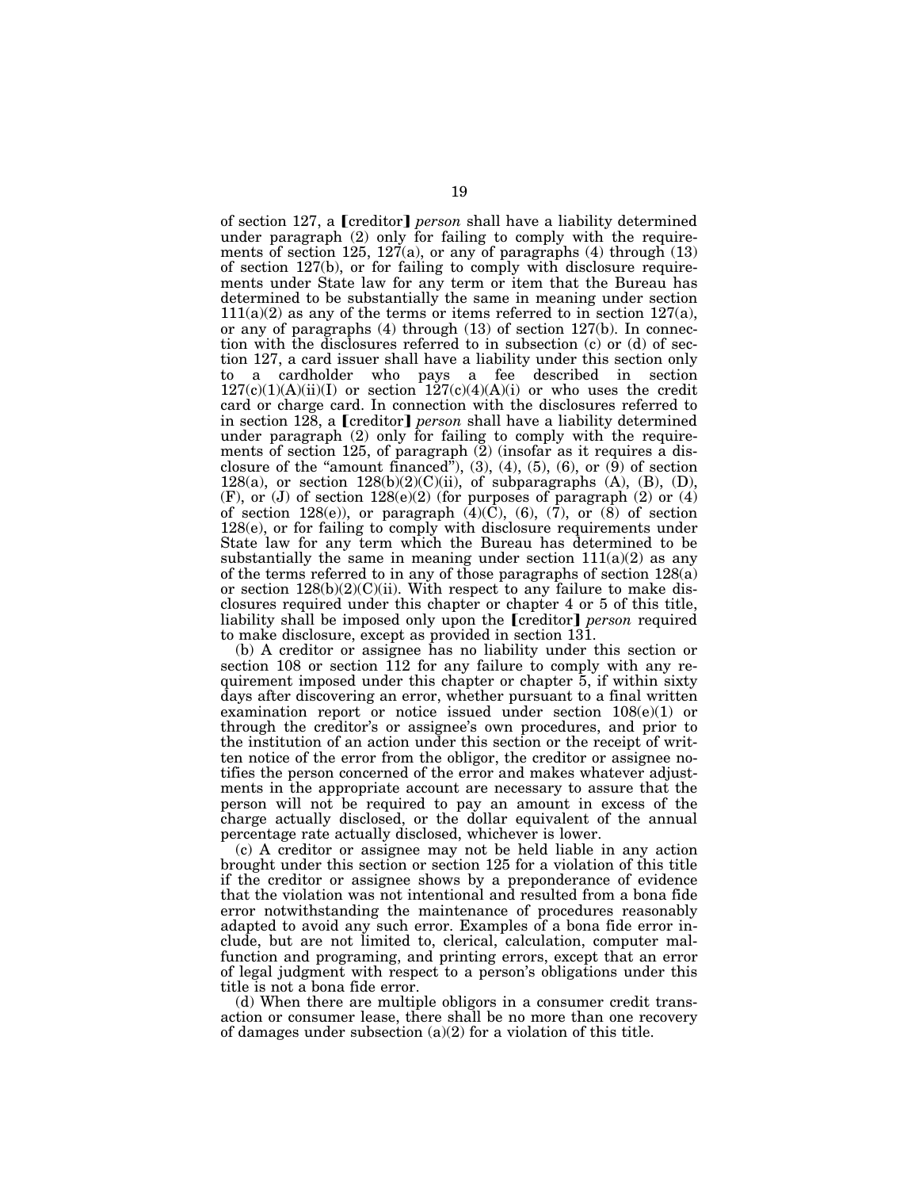of section 127, a **[**creditor**]** *person* shall have a liability determined under paragraph (2) only for failing to comply with the requirements of section 125,  $127(a)$ , or any of paragraphs (4) through (13) of section 127(b), or for failing to comply with disclosure requirements under State law for any term or item that the Bureau has determined to be substantially the same in meaning under section  $111(a)(2)$  as any of the terms or items referred to in section  $127(a)$ , or any of paragraphs (4) through (13) of section 127(b). In connection with the disclosures referred to in subsection (c) or (d) of section 127, a card issuer shall have a liability under this section only to a cardholder who pays a fee described in section  $127(c)(1)(A)(ii)(I)$  or section  $127(c)(4)(A)(i)$  or who uses the credit card or charge card. In connection with the disclosures referred to in section 128, a [creditor] *person* shall have a liability determined under paragraph (2) only for failing to comply with the requirements of section 125, of paragraph (2) (insofar as it requires a disclosure of the "amount financed"),  $(3)$ ,  $(4)$ ,  $(5)$ ,  $(6)$ , or  $(9)$  of section 128(a), or section  $128(b)(2)(C)(ii)$ , of subparagraphs (A), (B), (D), (F), or (J) of section  $128(e)(2)$  (for purposes of paragraph  $(2)$  or  $(4)$ of section 128(e)), or paragraph  $(4)(\dot{C})$ ,  $(6)$ ,  $(7)$ , or  $(8)$  of section 128(e), or for failing to comply with disclosure requirements under State law for any term which the Bureau has determined to be substantially the same in meaning under section  $111(a)(2)$  as any of the terms referred to in any of those paragraphs of section 128(a) or section  $128(b)(2)(C)(ii)$ . With respect to any failure to make disclosures required under this chapter or chapter 4 or 5 of this title, liability shall be imposed only upon the **[**creditor**]** *person* required to make disclosure, except as provided in section 131.

(b) A creditor or assignee has no liability under this section or section 108 or section 112 for any failure to comply with any requirement imposed under this chapter or chapter 5, if within sixty days after discovering an error, whether pursuant to a final written examination report or notice issued under section 108(e)(1) or through the creditor's or assignee's own procedures, and prior to the institution of an action under this section or the receipt of written notice of the error from the obligor, the creditor or assignee notifies the person concerned of the error and makes whatever adjustments in the appropriate account are necessary to assure that the person will not be required to pay an amount in excess of the charge actually disclosed, or the dollar equivalent of the annual percentage rate actually disclosed, whichever is lower.

(c) A creditor or assignee may not be held liable in any action brought under this section or section 125 for a violation of this title if the creditor or assignee shows by a preponderance of evidence that the violation was not intentional and resulted from a bona fide error notwithstanding the maintenance of procedures reasonably adapted to avoid any such error. Examples of a bona fide error include, but are not limited to, clerical, calculation, computer malfunction and programing, and printing errors, except that an error of legal judgment with respect to a person's obligations under this title is not a bona fide error.

(d) When there are multiple obligors in a consumer credit transaction or consumer lease, there shall be no more than one recovery of damages under subsection  $(a)(2)$  for a violation of this title.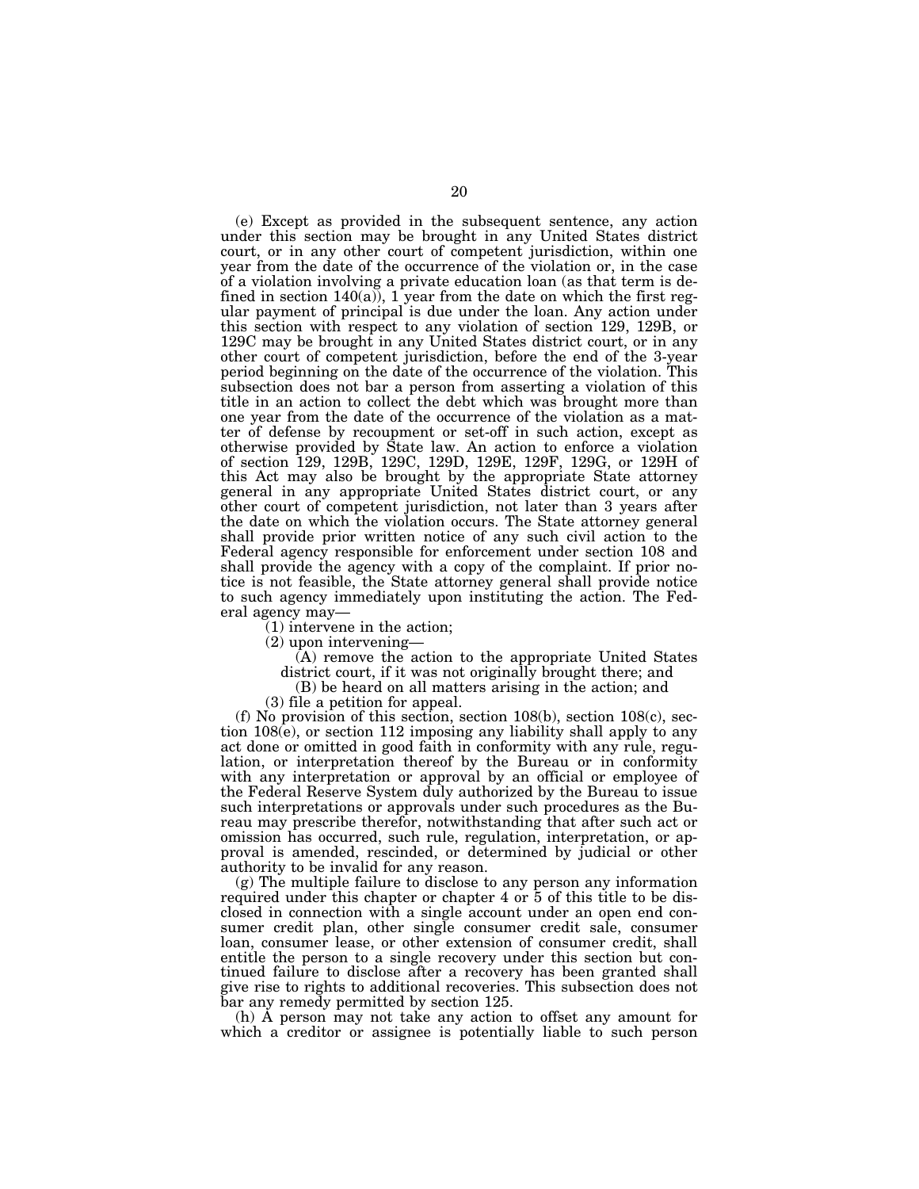(e) Except as provided in the subsequent sentence, any action under this section may be brought in any United States district court, or in any other court of competent jurisdiction, within one year from the date of the occurrence of the violation or, in the case of a violation involving a private education loan (as that term is defined in section  $140(a)$ , 1 year from the date on which the first regular payment of principal is due under the loan. Any action under this section with respect to any violation of section 129, 129B, or 129C may be brought in any United States district court, or in any other court of competent jurisdiction, before the end of the 3-year period beginning on the date of the occurrence of the violation. This subsection does not bar a person from asserting a violation of this title in an action to collect the debt which was brought more than one year from the date of the occurrence of the violation as a matter of defense by recoupment or set-off in such action, except as otherwise provided by State law. An action to enforce a violation of section 129, 129B, 129C, 129D, 129E, 129F, 129G, or 129H of this Act may also be brought by the appropriate State attorney general in any appropriate United States district court, or any other court of competent jurisdiction, not later than 3 years after the date on which the violation occurs. The State attorney general shall provide prior written notice of any such civil action to the Federal agency responsible for enforcement under section 108 and shall provide the agency with a copy of the complaint. If prior notice is not feasible, the State attorney general shall provide notice to such agency immediately upon instituting the action. The Federal agency may—

(1) intervene in the action;

(2) upon intervening—

(A) remove the action to the appropriate United States district court, if it was not originally brought there; and

(B) be heard on all matters arising in the action; and

(3) file a petition for appeal.

(f) No provision of this section, section 108(b), section 108(c), section 108(e), or section 112 imposing any liability shall apply to any act done or omitted in good faith in conformity with any rule, regulation, or interpretation thereof by the Bureau or in conformity with any interpretation or approval by an official or employee of the Federal Reserve System duly authorized by the Bureau to issue such interpretations or approvals under such procedures as the Bureau may prescribe therefor, notwithstanding that after such act or omission has occurred, such rule, regulation, interpretation, or approval is amended, rescinded, or determined by judicial or other authority to be invalid for any reason.

(g) The multiple failure to disclose to any person any information required under this chapter or chapter 4 or 5 of this title to be disclosed in connection with a single account under an open end consumer credit plan, other single consumer credit sale, consumer loan, consumer lease, or other extension of consumer credit, shall entitle the person to a single recovery under this section but continued failure to disclose after a recovery has been granted shall give rise to rights to additional recoveries. This subsection does not bar any remedy permitted by section 125.

(h) A person may not take any action to offset any amount for which a creditor or assignee is potentially liable to such person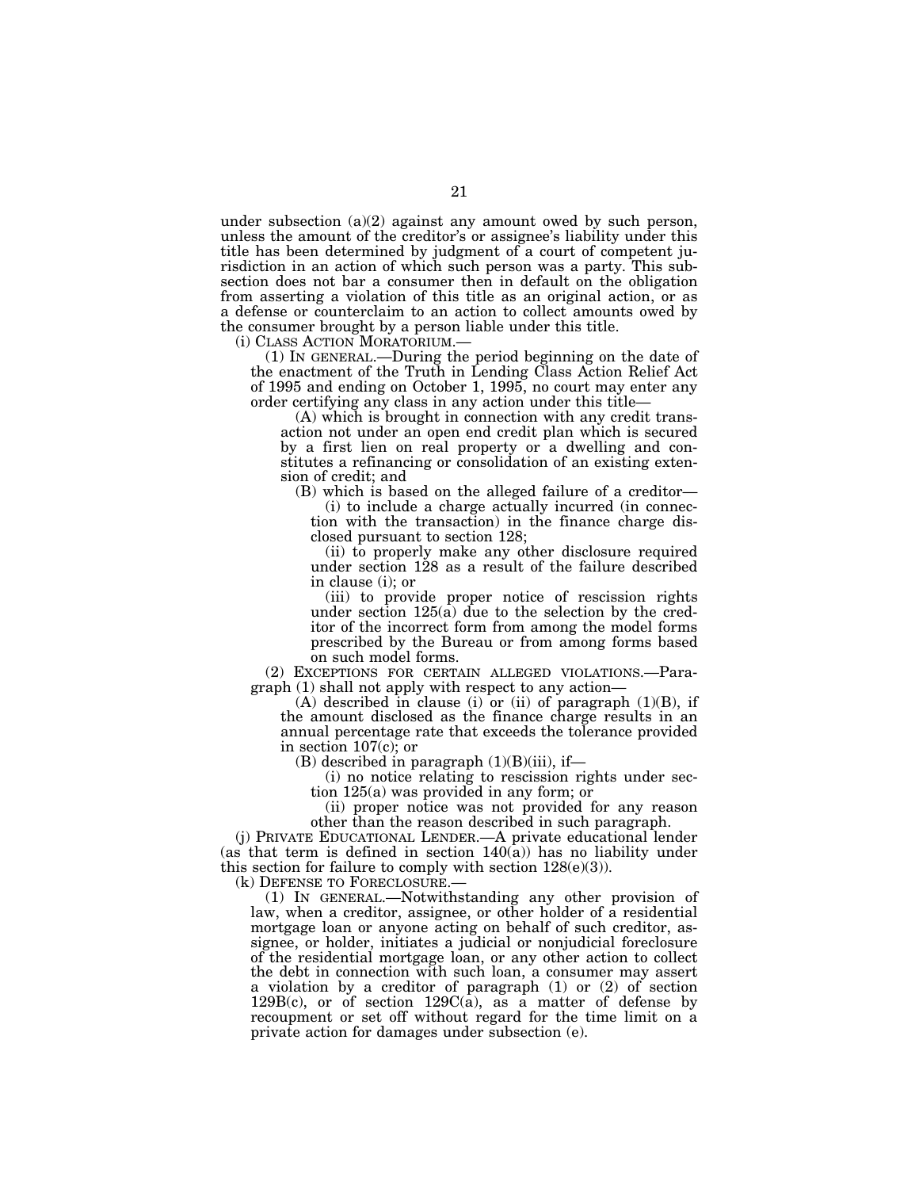under subsection  $(a)(2)$  against any amount owed by such person, unless the amount of the creditor's or assignee's liability under this title has been determined by judgment of a court of competent jurisdiction in an action of which such person was a party. This subsection does not bar a consumer then in default on the obligation from asserting a violation of this title as an original action, or as a defense or counterclaim to an action to collect amounts owed by the consumer brought by a person liable under this title.<br>(i) CLASS ACTION MORATORIUM.—

 $(1)$  In GENERAL.—During the period beginning on the date of the enactment of the Truth in Lending Class Action Relief Act of 1995 and ending on October 1, 1995, no court may enter any order certifying any class in any action under this title—

(A) which is brought in connection with any credit transaction not under an open end credit plan which is secured by a first lien on real property or a dwelling and constitutes a refinancing or consolidation of an existing extension of credit; and

(B) which is based on the alleged failure of a creditor— (i) to include a charge actually incurred (in connection with the transaction) in the finance charge dis-

closed pursuant to section 128; (ii) to properly make any other disclosure required

under section 128 as a result of the failure described in clause (i); or

(iii) to provide proper notice of rescission rights under section 125(a) due to the selection by the creditor of the incorrect form from among the model forms prescribed by the Bureau or from among forms based on such model forms.

(2) EXCEPTIONS FOR CERTAIN ALLEGED VIOLATIONS.—Paragraph (1) shall not apply with respect to any action—

(A) described in clause (i) or (ii) of paragraph (1)(B), if the amount disclosed as the finance charge results in an annual percentage rate that exceeds the tolerance provided in section 107(c); or

 $(B)$  described in paragraph  $(1)(B)(iii)$ , if—

(i) no notice relating to rescission rights under section 125(a) was provided in any form; or

(ii) proper notice was not provided for any reason other than the reason described in such paragraph.

(j) PRIVATE EDUCATIONAL LENDER.—A private educational lender (as that term is defined in section  $140(a)$ ) has no liability under this section for failure to comply with section  $128(e)(3)$ ).

(k) DEFENSE TO FORECLOSURE.—

(1) IN GENERAL.—Notwithstanding any other provision of law, when a creditor, assignee, or other holder of a residential mortgage loan or anyone acting on behalf of such creditor, assignee, or holder, initiates a judicial or nonjudicial foreclosure of the residential mortgage loan, or any other action to collect the debt in connection with such loan, a consumer may assert a violation by a creditor of paragraph (1) or (2) of section  $129B(c)$ , or of section  $129C(a)$ , as a matter of defense by recoupment or set off without regard for the time limit on a private action for damages under subsection (e).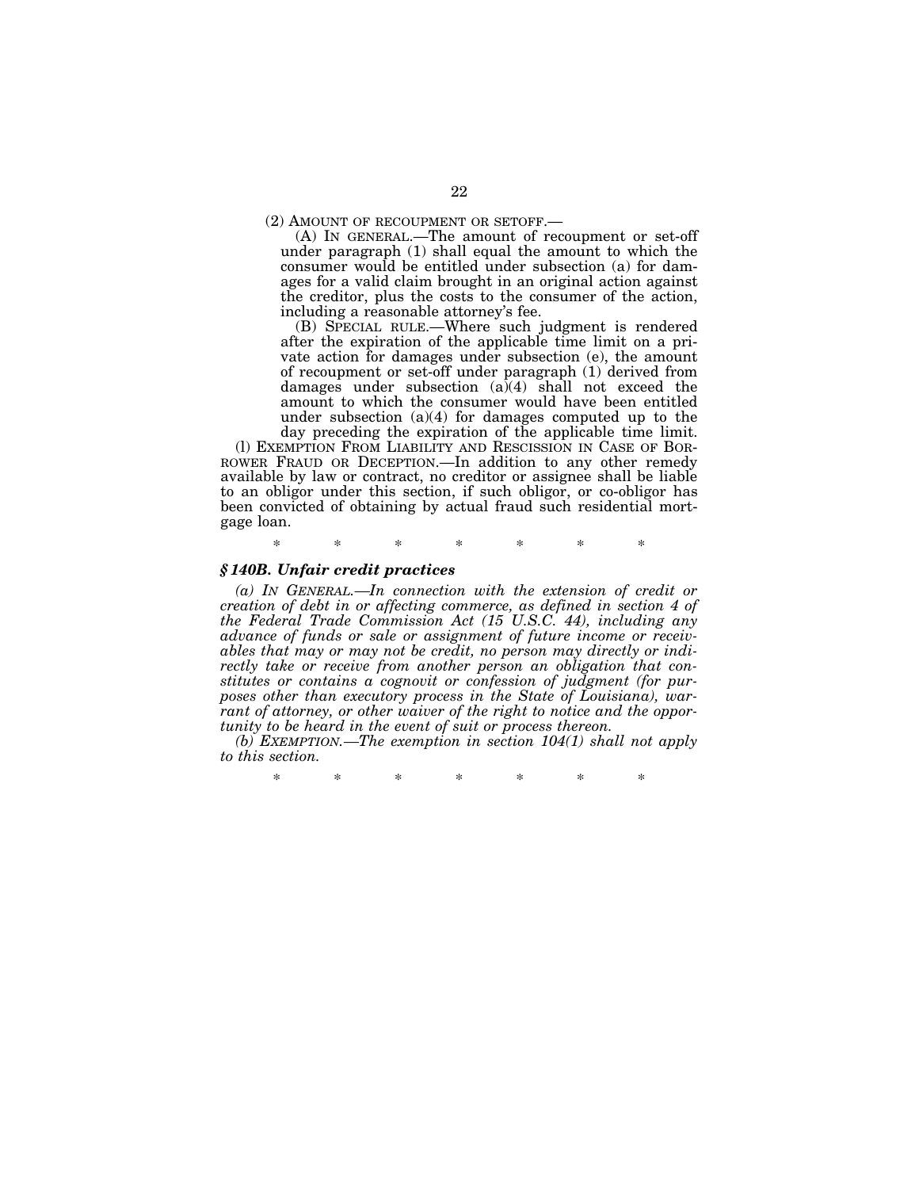(2) AMOUNT OF RECOUPMENT OR SETOFF.— (A) IN GENERAL.—The amount of recoupment or set-off under paragraph (1) shall equal the amount to which the consumer would be entitled under subsection (a) for damages for a valid claim brought in an original action against the creditor, plus the costs to the consumer of the action, including a reasonable attorney's fee.

(B) SPECIAL RULE.—Where such judgment is rendered after the expiration of the applicable time limit on a private action for damages under subsection (e), the amount of recoupment or set-off under paragraph (1) derived from damages under subsection  $(a)(4)$  shall not exceed the amount to which the consumer would have been entitled under subsection (a)(4) for damages computed up to the day preceding the expiration of the applicable time limit.

(l) EXEMPTION FROM LIABILITY AND RESCISSION IN CASE OF BOR-ROWER FRAUD OR DECEPTION.—In addition to any other remedy available by law or contract, no creditor or assignee shall be liable to an obligor under this section, if such obligor, or co-obligor has been convicted of obtaining by actual fraud such residential mortgage loan.

\* \* \* \* \* \* \*

# *§ 140B. Unfair credit practices*

*(a) IN GENERAL.—In connection with the extension of credit or creation of debt in or affecting commerce, as defined in section 4 of the Federal Trade Commission Act (15 U.S.C. 44), including any advance of funds or sale or assignment of future income or receivables that may or may not be credit, no person may directly or indirectly take or receive from another person an obligation that constitutes or contains a cognovit or confession of judgment (for purposes other than executory process in the State of Louisiana), warrant of attorney, or other waiver of the right to notice and the opportunity to be heard in the event of suit or process thereon.* 

*(b) EXEMPTION.—The exemption in section 104(1) shall not apply to this section.* 

\* \* \* \* \* \* \*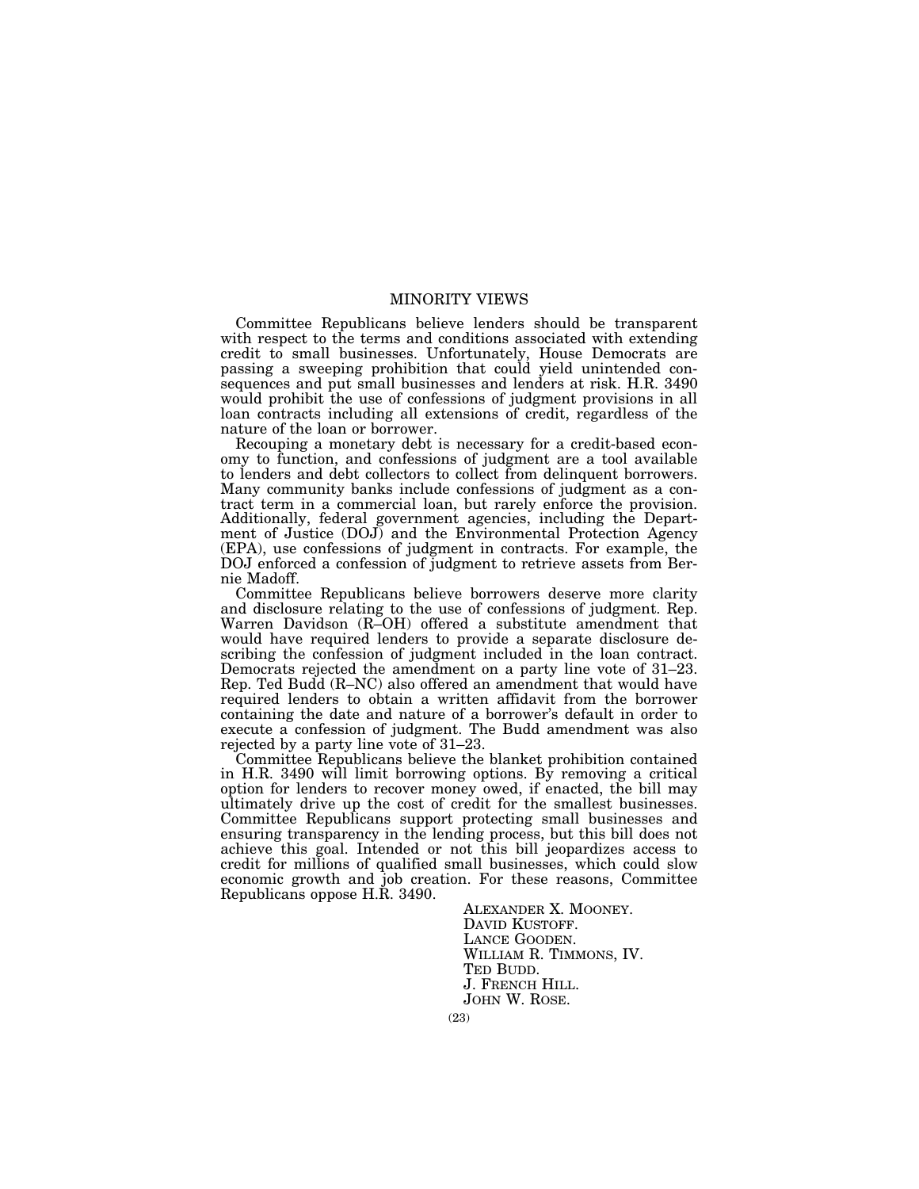# MINORITY VIEWS

Committee Republicans believe lenders should be transparent with respect to the terms and conditions associated with extending credit to small businesses. Unfortunately, House Democrats are passing a sweeping prohibition that could yield unintended consequences and put small businesses and lenders at risk. H.R. 3490 would prohibit the use of confessions of judgment provisions in all loan contracts including all extensions of credit, regardless of the nature of the loan or borrower.

Recouping a monetary debt is necessary for a credit-based economy to function, and confessions of judgment are a tool available to lenders and debt collectors to collect from delinquent borrowers. Many community banks include confessions of judgment as a contract term in a commercial loan, but rarely enforce the provision. Additionally, federal government agencies, including the Department of Justice (DOJ) and the Environmental Protection Agency (EPA), use confessions of judgment in contracts. For example, the DOJ enforced a confession of judgment to retrieve assets from Bernie Madoff.

Committee Republicans believe borrowers deserve more clarity and disclosure relating to the use of confessions of judgment. Rep. Warren Davidson (R–OH) offered a substitute amendment that would have required lenders to provide a separate disclosure describing the confession of judgment included in the loan contract. Democrats rejected the amendment on a party line vote of 31–23. Rep. Ted Budd (R–NC) also offered an amendment that would have required lenders to obtain a written affidavit from the borrower containing the date and nature of a borrower's default in order to execute a confession of judgment. The Budd amendment was also rejected by a party line vote of 31–23.

Committee Republicans believe the blanket prohibition contained in H.R. 3490 will limit borrowing options. By removing a critical option for lenders to recover money owed, if enacted, the bill may ultimately drive up the cost of credit for the smallest businesses. Committee Republicans support protecting small businesses and ensuring transparency in the lending process, but this bill does not achieve this goal. Intended or not this bill jeopardizes access to credit for millions of qualified small businesses, which could slow economic growth and job creation. For these reasons, Committee Republicans oppose H.R. 3490.

> ALEXANDER X. MOONEY. DAVID KUSTOFF. LANCE GOODEN. WILLIAM R. TIMMONS, IV. TED BUDD. J. FRENCH HILL. JOHN W. ROSE.